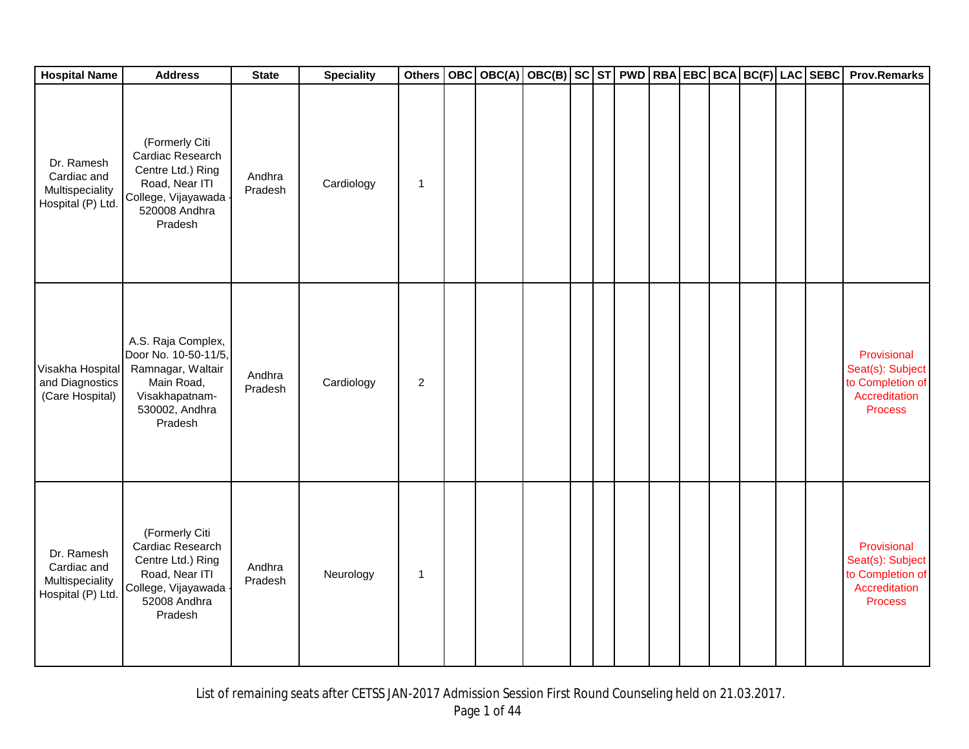| <b>Hospital Name</b>                                              | <b>Address</b>                                                                                                                | <b>State</b>      | <b>Speciality</b> | <b>Others</b>  |  | OBC OBC(A) OBC(B) SC ST PWD RBA EBC BCA BC(F) LAC SEBC |  |  |  |  | <b>Prov.Remarks</b>                                                                    |
|-------------------------------------------------------------------|-------------------------------------------------------------------------------------------------------------------------------|-------------------|-------------------|----------------|--|--------------------------------------------------------|--|--|--|--|----------------------------------------------------------------------------------------|
| Dr. Ramesh<br>Cardiac and<br>Multispeciality<br>Hospital (P) Ltd. | (Formerly Citi<br>Cardiac Research<br>Centre Ltd.) Ring<br>Road, Near ITI<br>College, Vijayawada<br>520008 Andhra<br>Pradesh  | Andhra<br>Pradesh | Cardiology        | 1              |  |                                                        |  |  |  |  |                                                                                        |
| Visakha Hospital<br>and Diagnostics<br>(Care Hospital)            | A.S. Raja Complex,<br>Door No. 10-50-11/5,<br>Ramnagar, Waltair<br>Main Road,<br>Visakhapatnam-<br>530002, Andhra<br>Pradesh  | Andhra<br>Pradesh | Cardiology        | $\overline{2}$ |  |                                                        |  |  |  |  | Provisional<br>Seat(s): Subject<br>to Completion of<br>Accreditation<br><b>Process</b> |
| Dr. Ramesh<br>Cardiac and<br>Multispeciality<br>Hospital (P) Ltd. | (Formerly Citi<br>Cardiac Research<br>Centre Ltd.) Ring<br>Road, Near ITI<br>College, Vijayawada -<br>52008 Andhra<br>Pradesh | Andhra<br>Pradesh | Neurology         | 1              |  |                                                        |  |  |  |  | Provisional<br>Seat(s): Subject<br>to Completion of<br>Accreditation<br><b>Process</b> |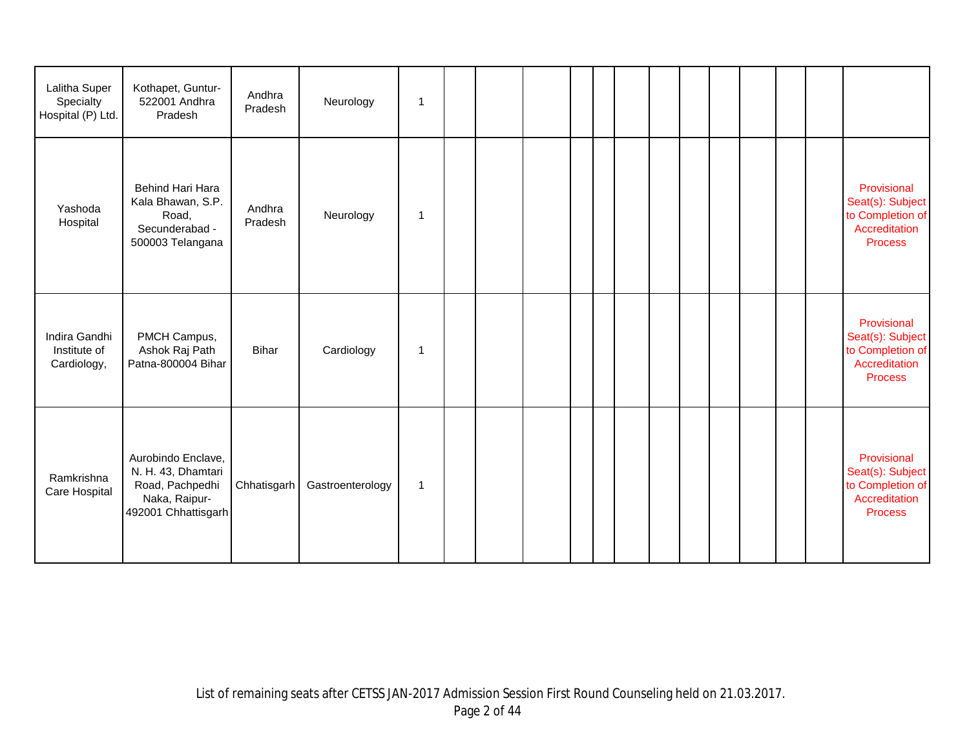| Lalitha Super<br>Specialty<br>Hospital (P) Ltd. | Kothapet, Guntur-<br>522001 Andhra<br>Pradesh                                                       | Andhra<br>Pradesh | Neurology        | $\mathbf 1$ |  |  |  |  |  |  |                                                                                        |
|-------------------------------------------------|-----------------------------------------------------------------------------------------------------|-------------------|------------------|-------------|--|--|--|--|--|--|----------------------------------------------------------------------------------------|
| Yashoda<br>Hospital                             | Behind Hari Hara<br>Kala Bhawan, S.P.<br>Road,<br>Secunderabad -<br>500003 Telangana                | Andhra<br>Pradesh | Neurology        | 1           |  |  |  |  |  |  | Provisional<br>Seat(s): Subject<br>to Completion of<br>Accreditation<br><b>Process</b> |
| Indira Gandhi<br>Institute of<br>Cardiology,    | PMCH Campus,<br>Ashok Raj Path<br>Patna-800004 Bihar                                                | Bihar             | Cardiology       | 1           |  |  |  |  |  |  | Provisional<br>Seat(s): Subject<br>to Completion of<br>Accreditation<br><b>Process</b> |
| Ramkrishna<br>Care Hospital                     | Aurobindo Enclave,<br>N. H. 43, Dhamtari<br>Road, Pachpedhi<br>Naka, Raipur-<br>492001 Chhattisgarh | Chhatisgarh       | Gastroenterology | $\mathbf 1$ |  |  |  |  |  |  | Provisional<br>Seat(s): Subject<br>to Completion of<br>Accreditation<br><b>Process</b> |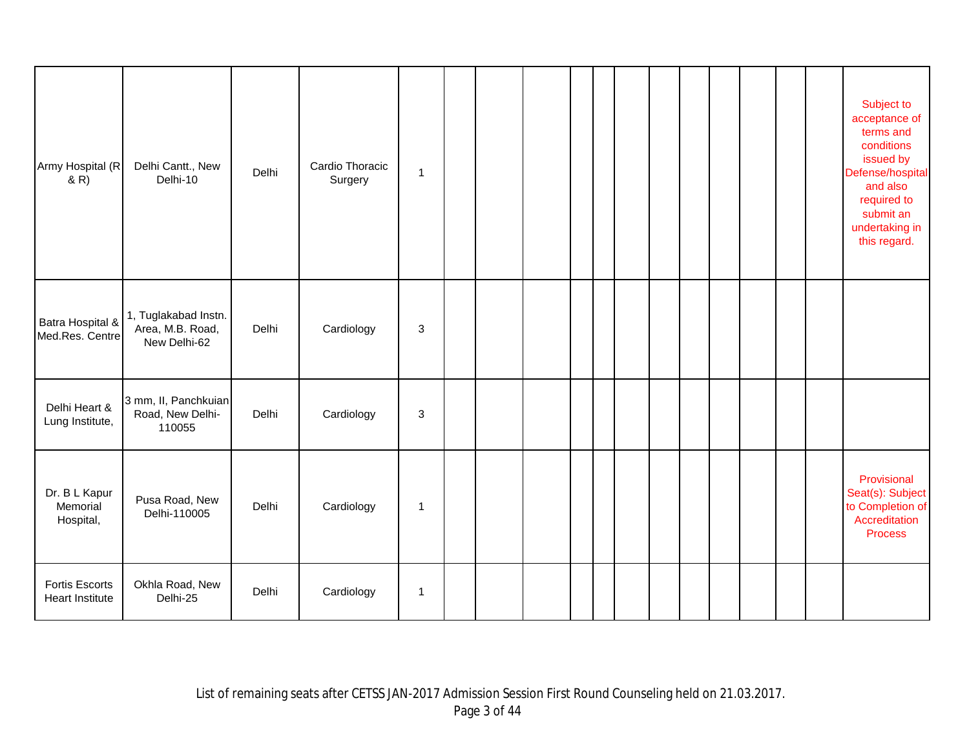| Army Hospital (R<br>& R)                 | Delhi Cantt., New<br>Delhi-10                            | Delhi | Cardio Thoracic<br>Surgery | 1 |  |  |  |  |  |  | Subject to<br>acceptance of<br>terms and<br>conditions<br>issued by<br>Defense/hospital<br>and also<br>required to<br>submit an<br>undertaking in<br>this regard. |
|------------------------------------------|----------------------------------------------------------|-------|----------------------------|---|--|--|--|--|--|--|-------------------------------------------------------------------------------------------------------------------------------------------------------------------|
| Batra Hospital &<br>Med.Res. Centre      | 1, Tuglakabad Instn.<br>Area, M.B. Road,<br>New Delhi-62 | Delhi | Cardiology                 | 3 |  |  |  |  |  |  |                                                                                                                                                                   |
| Delhi Heart &<br>Lung Institute,         | 3 mm, II, Panchkuian<br>Road, New Delhi-<br>110055       | Delhi | Cardiology                 | 3 |  |  |  |  |  |  |                                                                                                                                                                   |
| Dr. B L Kapur<br>Memorial<br>Hospital,   | Pusa Road, New<br>Delhi-110005                           | Delhi | Cardiology                 | 1 |  |  |  |  |  |  | Provisional<br>Seat(s): Subject<br>to Completion of<br>Accreditation<br><b>Process</b>                                                                            |
| <b>Fortis Escorts</b><br>Heart Institute | Okhla Road, New<br>Delhi-25                              | Delhi | Cardiology                 | 1 |  |  |  |  |  |  |                                                                                                                                                                   |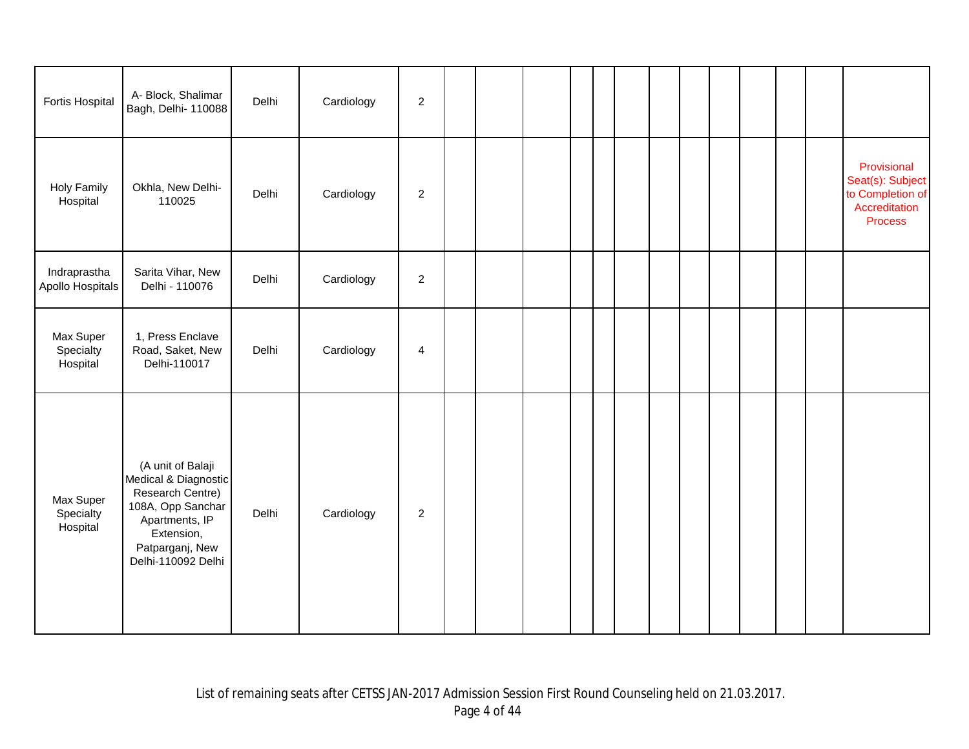| Fortis Hospital                    | A- Block, Shalimar<br>Bagh, Delhi- 110088                                                                                                                   | Delhi | Cardiology | $\sqrt{2}$              |  |  |  |  |  |  |                                                                                 |
|------------------------------------|-------------------------------------------------------------------------------------------------------------------------------------------------------------|-------|------------|-------------------------|--|--|--|--|--|--|---------------------------------------------------------------------------------|
| <b>Holy Family</b><br>Hospital     | Okhla, New Delhi-<br>110025                                                                                                                                 | Delhi | Cardiology | $\overline{\mathbf{c}}$ |  |  |  |  |  |  | Provisional<br>Seat(s): Subject<br>to Completion of<br>Accreditation<br>Process |
| Indraprastha<br>Apollo Hospitals   | Sarita Vihar, New<br>Delhi - 110076                                                                                                                         | Delhi | Cardiology | $\sqrt{2}$              |  |  |  |  |  |  |                                                                                 |
| Max Super<br>Specialty<br>Hospital | 1, Press Enclave<br>Road, Saket, New<br>Delhi-110017                                                                                                        | Delhi | Cardiology | $\overline{4}$          |  |  |  |  |  |  |                                                                                 |
| Max Super<br>Specialty<br>Hospital | (A unit of Balaji<br>Medical & Diagnostic<br>Research Centre)<br>108A, Opp Sanchar<br>Apartments, IP<br>Extension,<br>Patparganj, New<br>Delhi-110092 Delhi | Delhi | Cardiology | $\overline{c}$          |  |  |  |  |  |  |                                                                                 |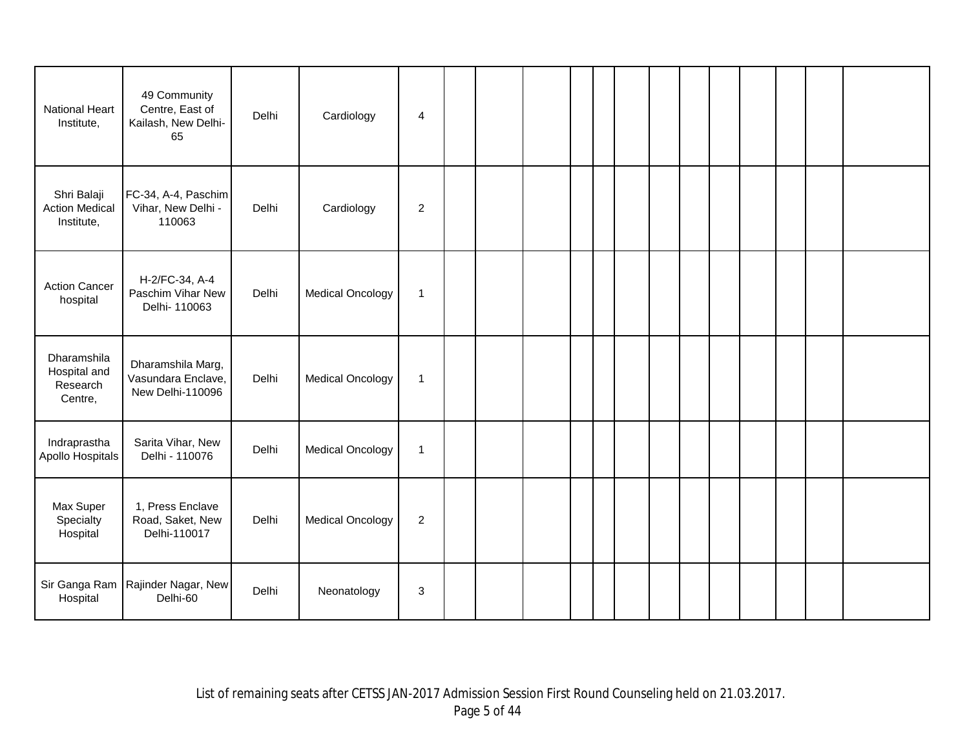| <b>National Heart</b><br>Institute,                | 49 Community<br>Centre, East of<br>Kailash, New Delhi-<br>65 | Delhi | Cardiology              | 4              |  |  |  |  |  |  |  |
|----------------------------------------------------|--------------------------------------------------------------|-------|-------------------------|----------------|--|--|--|--|--|--|--|
| Shri Balaji<br><b>Action Medical</b><br>Institute, | FC-34, A-4, Paschim<br>Vihar, New Delhi -<br>110063          | Delhi | Cardiology              | $\overline{c}$ |  |  |  |  |  |  |  |
| <b>Action Cancer</b><br>hospital                   | H-2/FC-34, A-4<br>Paschim Vihar New<br>Delhi- 110063         | Delhi | <b>Medical Oncology</b> | $\mathbf{1}$   |  |  |  |  |  |  |  |
| Dharamshila<br>Hospital and<br>Research<br>Centre, | Dharamshila Marg,<br>Vasundara Enclave,<br>New Delhi-110096  | Delhi | <b>Medical Oncology</b> | $\mathbf{1}$   |  |  |  |  |  |  |  |
| Indraprastha<br>Apollo Hospitals                   | Sarita Vihar, New<br>Delhi - 110076                          | Delhi | <b>Medical Oncology</b> | $\mathbf{1}$   |  |  |  |  |  |  |  |
| Max Super<br>Specialty<br>Hospital                 | 1, Press Enclave<br>Road, Saket, New<br>Delhi-110017         | Delhi | <b>Medical Oncology</b> | $\overline{2}$ |  |  |  |  |  |  |  |
| Hospital                                           | Sir Ganga Ram   Rajinder Nagar, New<br>Delhi-60              | Delhi | Neonatology             | 3              |  |  |  |  |  |  |  |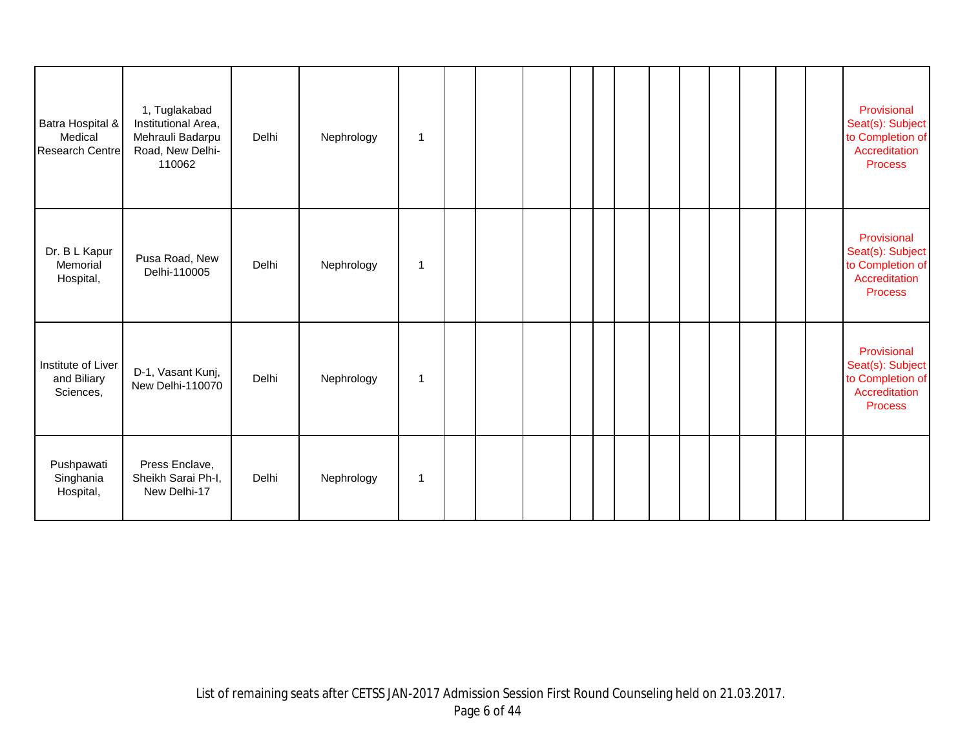| Batra Hospital &<br>Medical<br>Research Centre | 1, Tuglakabad<br>Institutional Area,<br>Mehrauli Badarpu<br>Road, New Delhi-<br>110062 | Delhi | Nephrology | $\mathbf 1$ |  |  |  |  |  |  | Provisional<br>Seat(s): Subject<br>to Completion of<br>Accreditation<br><b>Process</b> |
|------------------------------------------------|----------------------------------------------------------------------------------------|-------|------------|-------------|--|--|--|--|--|--|----------------------------------------------------------------------------------------|
| Dr. B L Kapur<br>Memorial<br>Hospital,         | Pusa Road, New<br>Delhi-110005                                                         | Delhi | Nephrology | 1           |  |  |  |  |  |  | Provisional<br>Seat(s): Subject<br>to Completion of<br>Accreditation<br><b>Process</b> |
| Institute of Liver<br>and Biliary<br>Sciences, | D-1, Vasant Kunj,<br>New Delhi-110070                                                  | Delhi | Nephrology | $\mathbf 1$ |  |  |  |  |  |  | Provisional<br>Seat(s): Subject<br>to Completion of<br>Accreditation<br><b>Process</b> |
| Pushpawati<br>Singhania<br>Hospital,           | Press Enclave,<br>Sheikh Sarai Ph-I,<br>New Delhi-17                                   | Delhi | Nephrology | 1           |  |  |  |  |  |  |                                                                                        |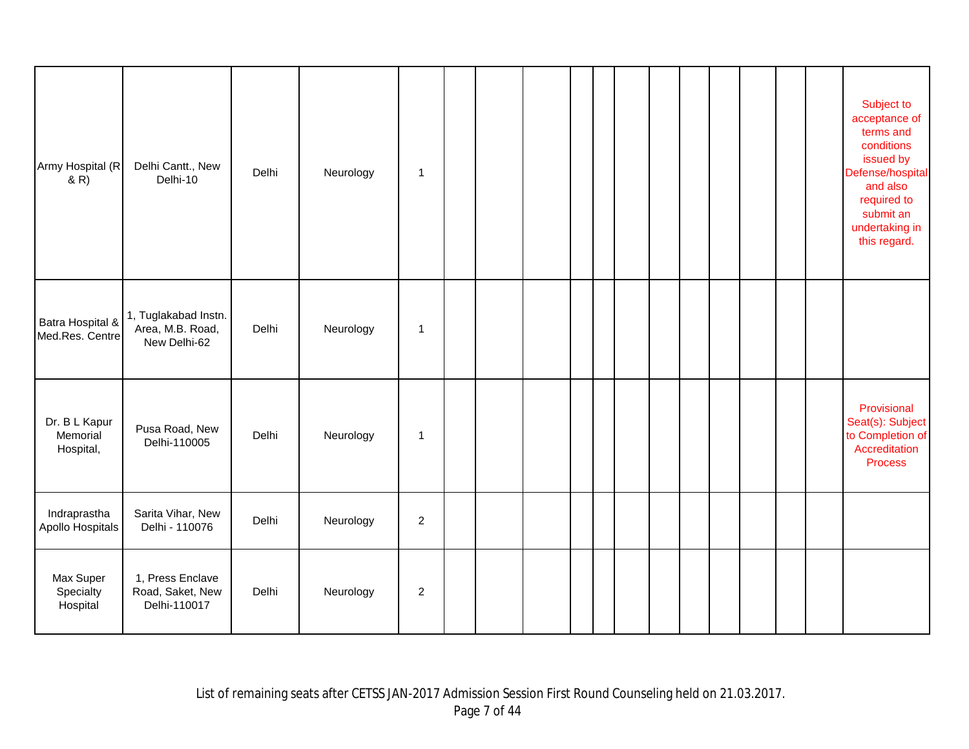| Army Hospital (R<br>(R)                | Delhi Cantt., New<br>Delhi-10                            | Delhi | Neurology | 1                |  |  |  |  |  |  | Subject to<br>acceptance of<br>terms and<br>conditions<br>issued by<br>Defense/hospital<br>and also<br>required to<br>submit an<br>undertaking in<br>this regard. |
|----------------------------------------|----------------------------------------------------------|-------|-----------|------------------|--|--|--|--|--|--|-------------------------------------------------------------------------------------------------------------------------------------------------------------------|
| Batra Hospital &<br>Med.Res. Centre    | 1, Tuglakabad Instn.<br>Area, M.B. Road,<br>New Delhi-62 | Delhi | Neurology | 1                |  |  |  |  |  |  |                                                                                                                                                                   |
| Dr. B L Kapur<br>Memorial<br>Hospital, | Pusa Road, New<br>Delhi-110005                           | Delhi | Neurology | $\overline{1}$   |  |  |  |  |  |  | Provisional<br>Seat(s): Subject<br>to Completion of<br>Accreditation<br><b>Process</b>                                                                            |
| Indraprastha<br>Apollo Hospitals       | Sarita Vihar, New<br>Delhi - 110076                      | Delhi | Neurology | $\overline{c}$   |  |  |  |  |  |  |                                                                                                                                                                   |
| Max Super<br>Specialty<br>Hospital     | 1, Press Enclave<br>Road, Saket, New<br>Delhi-110017     | Delhi | Neurology | $\boldsymbol{2}$ |  |  |  |  |  |  |                                                                                                                                                                   |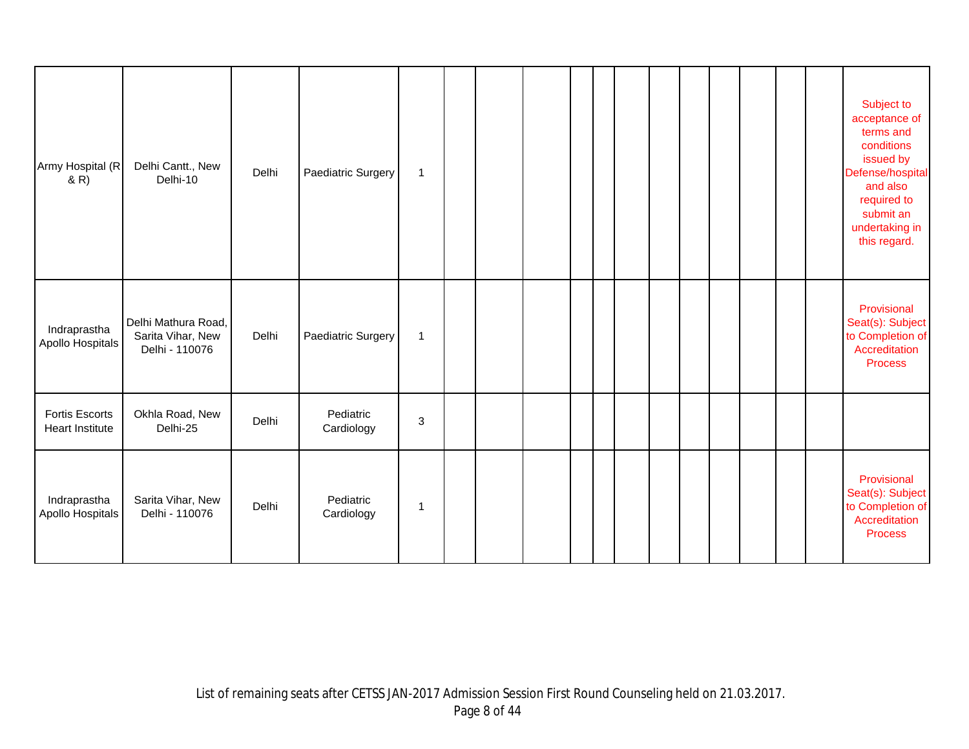| Army Hospital (R<br>(R)                         | Delhi Cantt., New<br>Delhi-10                              | Delhi | Paediatric Surgery      | 1            |  |  |  |  |  |  | Subject to<br>acceptance of<br>terms and<br>conditions<br>issued by<br>Defense/hospital<br>and also<br>required to<br>submit an<br>undertaking in<br>this regard. |
|-------------------------------------------------|------------------------------------------------------------|-------|-------------------------|--------------|--|--|--|--|--|--|-------------------------------------------------------------------------------------------------------------------------------------------------------------------|
| Indraprastha<br>Apollo Hospitals                | Delhi Mathura Road,<br>Sarita Vihar, New<br>Delhi - 110076 | Delhi | Paediatric Surgery      | $\mathbf{1}$ |  |  |  |  |  |  | Provisional<br>Seat(s): Subject<br>to Completion of<br>Accreditation<br><b>Process</b>                                                                            |
| <b>Fortis Escorts</b><br><b>Heart Institute</b> | Okhla Road, New<br>Delhi-25                                | Delhi | Pediatric<br>Cardiology | 3            |  |  |  |  |  |  |                                                                                                                                                                   |
| Indraprastha<br>Apollo Hospitals                | Sarita Vihar, New<br>Delhi - 110076                        | Delhi | Pediatric<br>Cardiology | 1            |  |  |  |  |  |  | Provisional<br>Seat(s): Subject<br>to Completion of<br>Accreditation<br><b>Process</b>                                                                            |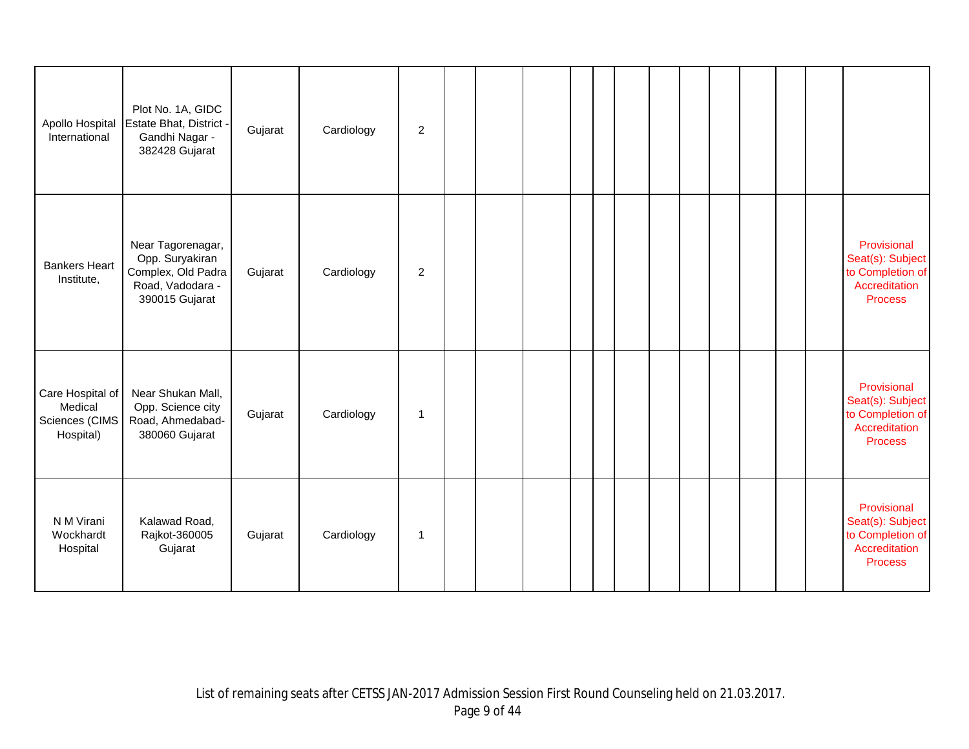| Apollo Hospital<br>International                           | Plot No. 1A, GIDC<br>Estate Bhat, District -<br>Gandhi Nagar -<br>382428 Gujarat                 | Gujarat | Cardiology | $\boldsymbol{2}$ |  |  |  |  |  |  |                                                                                        |
|------------------------------------------------------------|--------------------------------------------------------------------------------------------------|---------|------------|------------------|--|--|--|--|--|--|----------------------------------------------------------------------------------------|
| <b>Bankers Heart</b><br>Institute,                         | Near Tagorenagar,<br>Opp. Suryakiran<br>Complex, Old Padra<br>Road, Vadodara -<br>390015 Gujarat | Gujarat | Cardiology | 2                |  |  |  |  |  |  | Provisional<br>Seat(s): Subject<br>to Completion of<br>Accreditation<br><b>Process</b> |
| Care Hospital of<br>Medical<br>Sciences (CIMS<br>Hospital) | Near Shukan Mall,<br>Opp. Science city<br>Road, Ahmedabad-<br>380060 Gujarat                     | Gujarat | Cardiology | 1                |  |  |  |  |  |  | Provisional<br>Seat(s): Subject<br>to Completion of<br>Accreditation<br><b>Process</b> |
| N M Virani<br>Wockhardt<br>Hospital                        | Kalawad Road,<br>Rajkot-360005<br>Gujarat                                                        | Gujarat | Cardiology | $\mathbf 1$      |  |  |  |  |  |  | Provisional<br>Seat(s): Subject<br>to Completion of<br>Accreditation<br><b>Process</b> |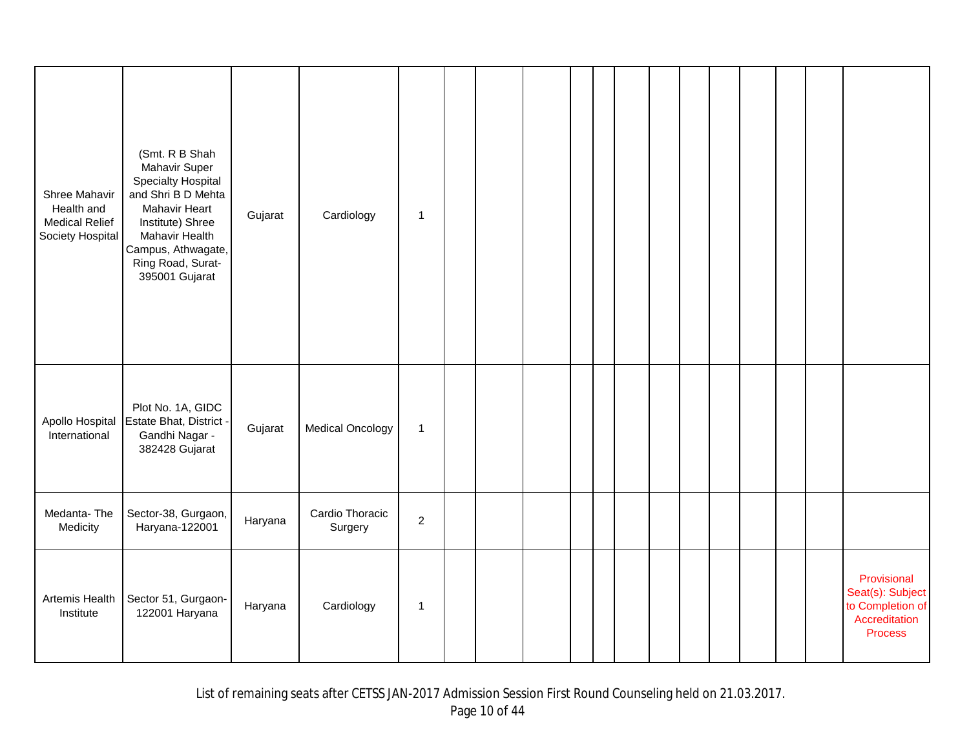| Shree Mahavir<br>Health and<br><b>Medical Relief</b><br>Society Hospital | (Smt. R B Shah<br>Mahavir Super<br>Specialty Hospital<br>and Shri B D Mehta<br>Mahavir Heart<br>Institute) Shree<br>Mahavir Health<br>Campus, Athwagate,<br>Ring Road, Surat-<br>395001 Gujarat | Gujarat | Cardiology                 | $\mathbf{1}$   |  |  |  |  |  |  |                                                                                        |
|--------------------------------------------------------------------------|-------------------------------------------------------------------------------------------------------------------------------------------------------------------------------------------------|---------|----------------------------|----------------|--|--|--|--|--|--|----------------------------------------------------------------------------------------|
| Apollo Hospital<br>International                                         | Plot No. 1A, GIDC<br>Estate Bhat, District -<br>Gandhi Nagar -<br>382428 Gujarat                                                                                                                | Gujarat | <b>Medical Oncology</b>    | $\mathbf{1}$   |  |  |  |  |  |  |                                                                                        |
| Medanta-The<br>Medicity                                                  | Sector-38, Gurgaon,<br>Haryana-122001                                                                                                                                                           | Haryana | Cardio Thoracic<br>Surgery | $\overline{c}$ |  |  |  |  |  |  |                                                                                        |
| Artemis Health<br>Institute                                              | Sector 51, Gurgaon-<br>122001 Haryana                                                                                                                                                           | Haryana | Cardiology                 | $\mathbf 1$    |  |  |  |  |  |  | Provisional<br>Seat(s): Subject<br>to Completion of<br>Accreditation<br><b>Process</b> |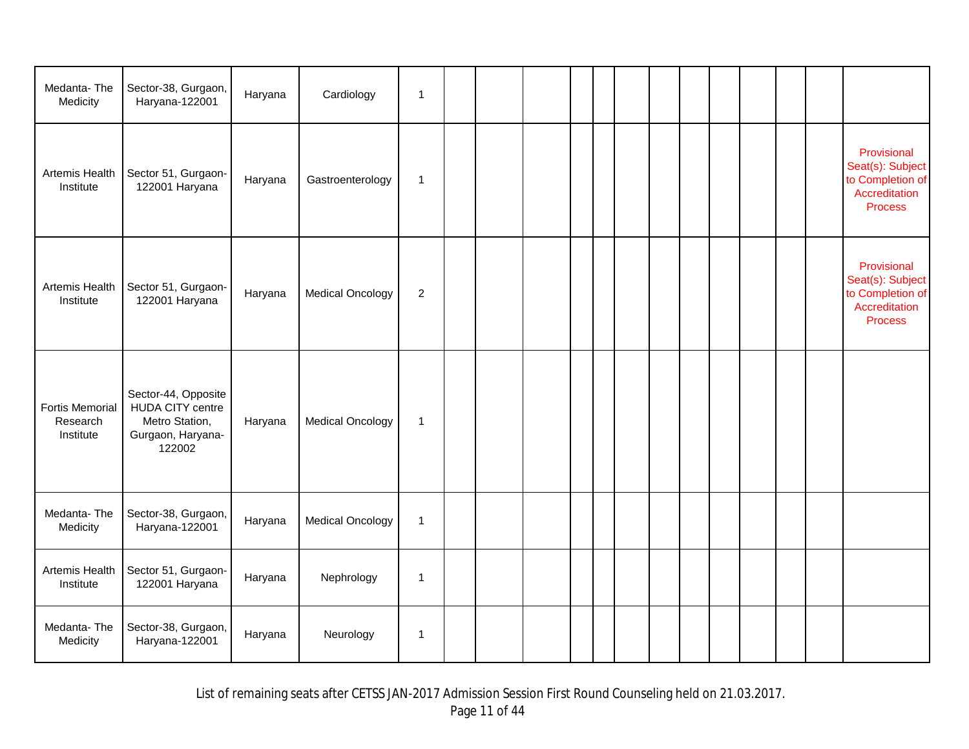| Medanta-The<br>Medicity                         | Sector-38, Gurgaon,<br>Haryana-122001                                                    | Haryana | Cardiology              | $\mathbf{1}$   |  |  |  |  |  |  |                                                                                        |
|-------------------------------------------------|------------------------------------------------------------------------------------------|---------|-------------------------|----------------|--|--|--|--|--|--|----------------------------------------------------------------------------------------|
| Artemis Health<br>Institute                     | Sector 51, Gurgaon-<br>122001 Haryana                                                    | Haryana | Gastroenterology        | $\mathbf 1$    |  |  |  |  |  |  | Provisional<br>Seat(s): Subject<br>to Completion of<br>Accreditation<br><b>Process</b> |
| Artemis Health<br>Institute                     | Sector 51, Gurgaon-<br>122001 Haryana                                                    | Haryana | <b>Medical Oncology</b> | $\overline{c}$ |  |  |  |  |  |  | Provisional<br>Seat(s): Subject<br>to Completion of<br>Accreditation<br><b>Process</b> |
| <b>Fortis Memorial</b><br>Research<br>Institute | Sector-44, Opposite<br>HUDA CITY centre<br>Metro Station,<br>Gurgaon, Haryana-<br>122002 | Haryana | <b>Medical Oncology</b> | $\mathbf{1}$   |  |  |  |  |  |  |                                                                                        |
| Medanta-The<br>Medicity                         | Sector-38, Gurgaon,<br>Haryana-122001                                                    | Haryana | <b>Medical Oncology</b> | $\mathbf{1}$   |  |  |  |  |  |  |                                                                                        |
| Artemis Health<br>Institute                     | Sector 51, Gurgaon-<br>122001 Haryana                                                    | Haryana | Nephrology              | $\mathbf 1$    |  |  |  |  |  |  |                                                                                        |
| Medanta-The<br>Medicity                         | Sector-38, Gurgaon,<br>Haryana-122001                                                    | Haryana | Neurology               | $\mathbf 1$    |  |  |  |  |  |  |                                                                                        |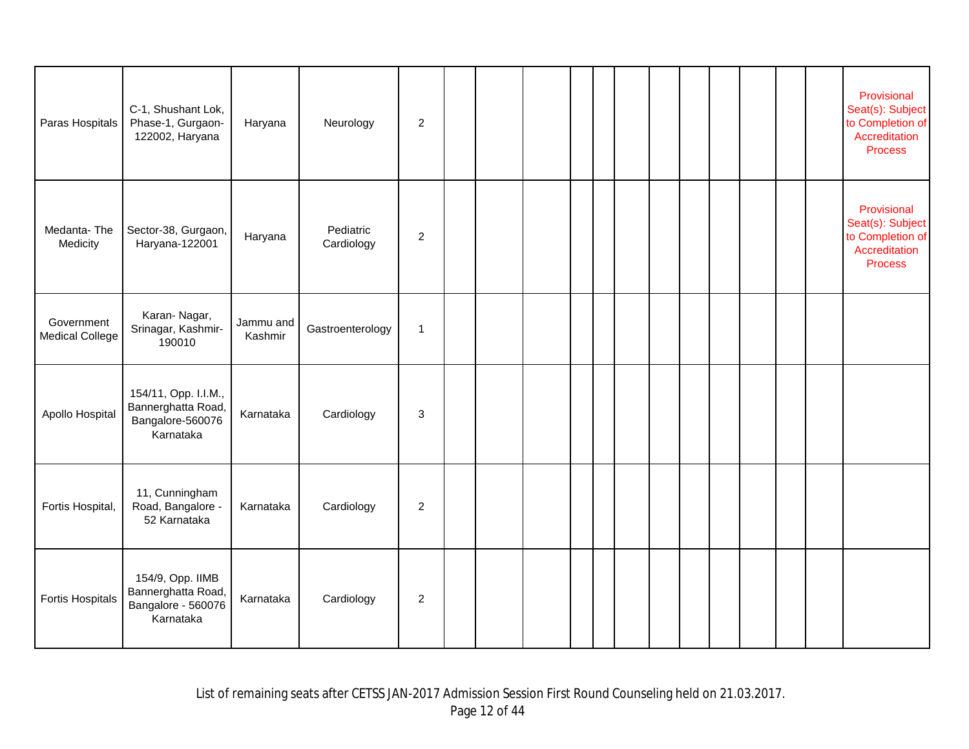| Paras Hospitals                      | C-1, Shushant Lok,<br>Phase-1, Gurgaon-<br>122002, Haryana                  | Haryana              | Neurology               | $\overline{c}$            |  |  |  |  |  |  | Provisional<br>Seat(s): Subject<br>to Completion of<br>Accreditation<br><b>Process</b> |
|--------------------------------------|-----------------------------------------------------------------------------|----------------------|-------------------------|---------------------------|--|--|--|--|--|--|----------------------------------------------------------------------------------------|
| Medanta-The<br>Medicity              | Sector-38, Gurgaon,<br>Haryana-122001                                       | Haryana              | Pediatric<br>Cardiology | $\overline{2}$            |  |  |  |  |  |  | Provisional<br>Seat(s): Subject<br>to Completion of<br>Accreditation<br><b>Process</b> |
| Government<br><b>Medical College</b> | Karan-Nagar,<br>Srinagar, Kashmir-<br>190010                                | Jammu and<br>Kashmir | Gastroenterology        | 1                         |  |  |  |  |  |  |                                                                                        |
| Apollo Hospital                      | 154/11, Opp. I.I.M.,<br>Bannerghatta Road,<br>Bangalore-560076<br>Karnataka | Karnataka            | Cardiology              | $\ensuremath{\mathsf{3}}$ |  |  |  |  |  |  |                                                                                        |
| Fortis Hospital,                     | 11, Cunningham<br>Road, Bangalore -<br>52 Karnataka                         | Karnataka            | Cardiology              | $\overline{c}$            |  |  |  |  |  |  |                                                                                        |
| <b>Fortis Hospitals</b>              | 154/9, Opp. IIMB<br>Bannerghatta Road,<br>Bangalore - 560076<br>Karnataka   | Karnataka            | Cardiology              | $\overline{2}$            |  |  |  |  |  |  |                                                                                        |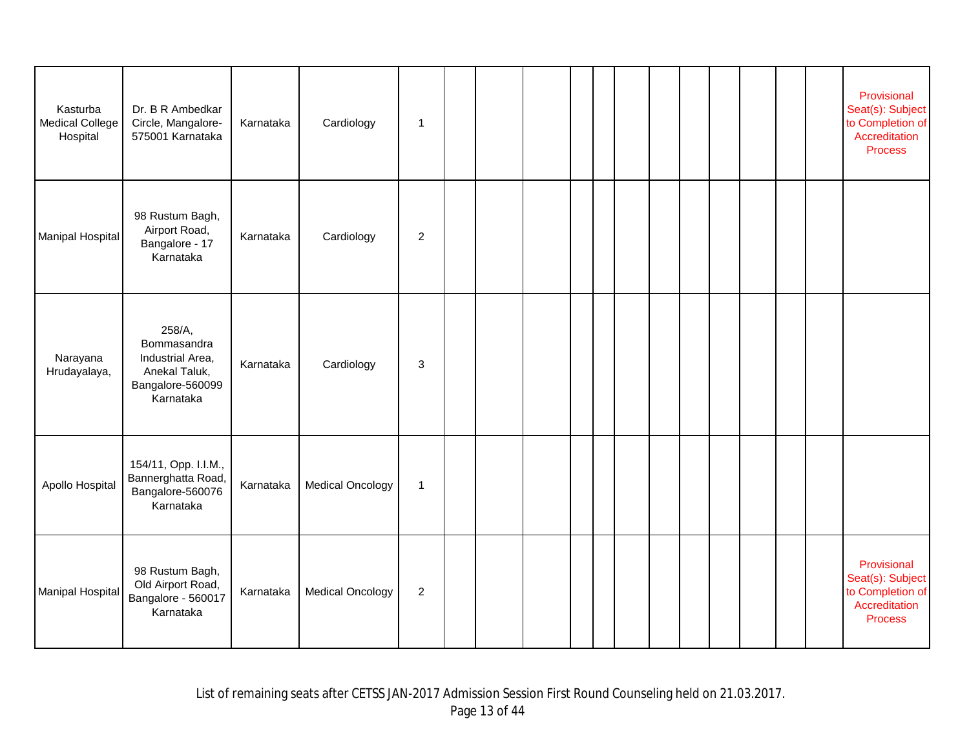| Kasturba<br><b>Medical College</b><br>Hospital | Dr. B R Ambedkar<br>Circle, Mangalore-<br>575001 Karnataka                                  | Karnataka | Cardiology              | $\mathbf{1}$     |  |  |  |  |  |  | Provisional<br>Seat(s): Subject<br>to Completion of<br>Accreditation<br><b>Process</b> |
|------------------------------------------------|---------------------------------------------------------------------------------------------|-----------|-------------------------|------------------|--|--|--|--|--|--|----------------------------------------------------------------------------------------|
| <b>Manipal Hospital</b>                        | 98 Rustum Bagh,<br>Airport Road,<br>Bangalore - 17<br>Karnataka                             | Karnataka | Cardiology              | $\overline{c}$   |  |  |  |  |  |  |                                                                                        |
| Narayana<br>Hrudayalaya,                       | 258/A,<br>Bommasandra<br>Industrial Area,<br>Anekal Taluk,<br>Bangalore-560099<br>Karnataka | Karnataka | Cardiology              | 3                |  |  |  |  |  |  |                                                                                        |
| Apollo Hospital                                | 154/11, Opp. I.I.M.,<br>Bannerghatta Road,<br>Bangalore-560076<br>Karnataka                 | Karnataka | <b>Medical Oncology</b> | $\mathbf{1}$     |  |  |  |  |  |  |                                                                                        |
| <b>Manipal Hospital</b>                        | 98 Rustum Bagh,<br>Old Airport Road,<br>Bangalore - 560017<br>Karnataka                     | Karnataka | <b>Medical Oncology</b> | $\boldsymbol{2}$ |  |  |  |  |  |  | Provisional<br>Seat(s): Subject<br>to Completion of<br>Accreditation<br><b>Process</b> |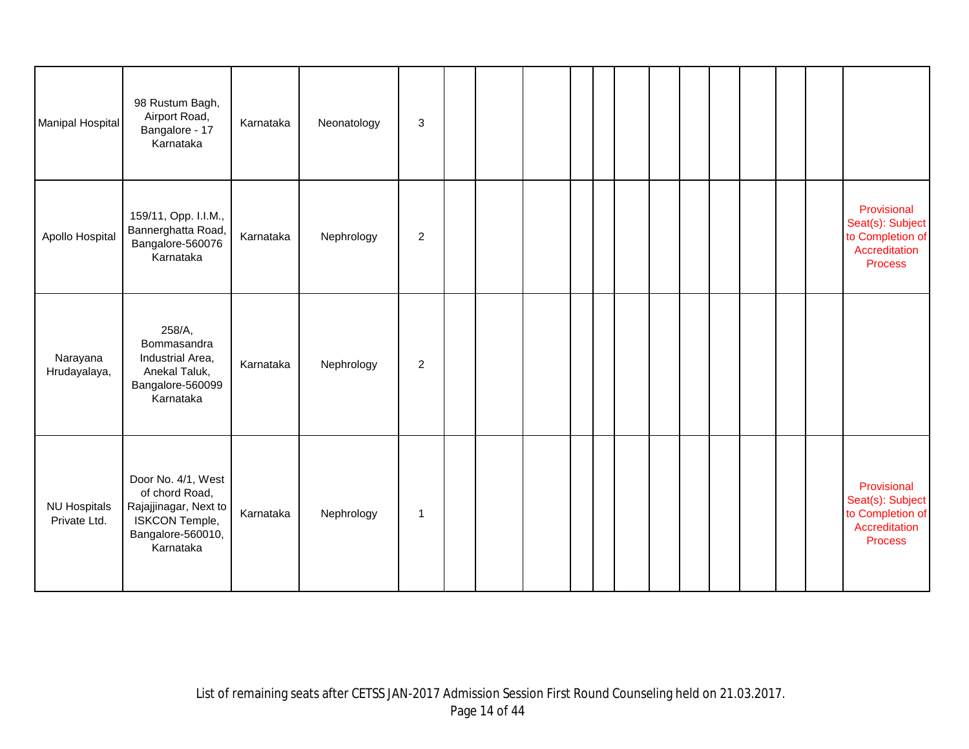| Manipal Hospital                    | 98 Rustum Bagh,<br>Airport Road,<br>Bangalore - 17<br>Karnataka                                                          | Karnataka | Neonatology | $\ensuremath{\mathsf{3}}$ |  |  |  |  |  |  |                                                                                        |
|-------------------------------------|--------------------------------------------------------------------------------------------------------------------------|-----------|-------------|---------------------------|--|--|--|--|--|--|----------------------------------------------------------------------------------------|
| Apollo Hospital                     | 159/11, Opp. I.I.M.,<br>Bannerghatta Road,<br>Bangalore-560076<br>Karnataka                                              | Karnataka | Nephrology  | $\boldsymbol{2}$          |  |  |  |  |  |  | Provisional<br>Seat(s): Subject<br>to Completion of<br>Accreditation<br><b>Process</b> |
| Narayana<br>Hrudayalaya,            | 258/A,<br>Bommasandra<br>Industrial Area,<br>Anekal Taluk,<br>Bangalore-560099<br>Karnataka                              | Karnataka | Nephrology  | $\overline{2}$            |  |  |  |  |  |  |                                                                                        |
| <b>NU Hospitals</b><br>Private Ltd. | Door No. 4/1, West<br>of chord Road,<br>Rajajjinagar, Next to<br><b>ISKCON Temple,</b><br>Bangalore-560010,<br>Karnataka | Karnataka | Nephrology  | -1                        |  |  |  |  |  |  | Provisional<br>Seat(s): Subject<br>to Completion of<br>Accreditation<br><b>Process</b> |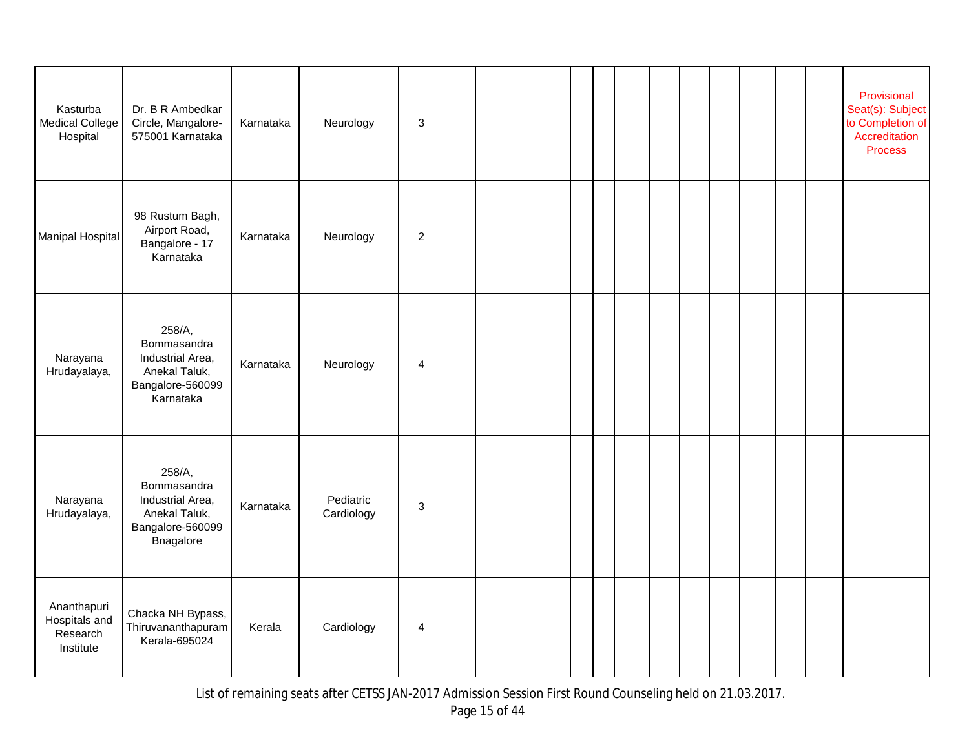| Kasturba<br><b>Medical College</b><br>Hospital        | Dr. B R Ambedkar<br>Circle, Mangalore-<br>575001 Karnataka                                  | Karnataka | Neurology               | $\ensuremath{\mathsf{3}}$ |  |  |  |  |  |  | Provisional<br>Seat(s): Subject<br>to Completion of<br>Accreditation<br><b>Process</b> |
|-------------------------------------------------------|---------------------------------------------------------------------------------------------|-----------|-------------------------|---------------------------|--|--|--|--|--|--|----------------------------------------------------------------------------------------|
| Manipal Hospital                                      | 98 Rustum Bagh,<br>Airport Road,<br>Bangalore - 17<br>Karnataka                             | Karnataka | Neurology               | $\boldsymbol{2}$          |  |  |  |  |  |  |                                                                                        |
| Narayana<br>Hrudayalaya,                              | 258/A,<br>Bommasandra<br>Industrial Area,<br>Anekal Taluk,<br>Bangalore-560099<br>Karnataka | Karnataka | Neurology               | 4                         |  |  |  |  |  |  |                                                                                        |
| Narayana<br>Hrudayalaya,                              | 258/A,<br>Bommasandra<br>Industrial Area,<br>Anekal Taluk,<br>Bangalore-560099<br>Bnagalore | Karnataka | Pediatric<br>Cardiology | $\sqrt{3}$                |  |  |  |  |  |  |                                                                                        |
| Ananthapuri<br>Hospitals and<br>Research<br>Institute | Chacka NH Bypass,<br>Thiruvananthapuram<br>Kerala-695024                                    | Kerala    | Cardiology              | 4                         |  |  |  |  |  |  |                                                                                        |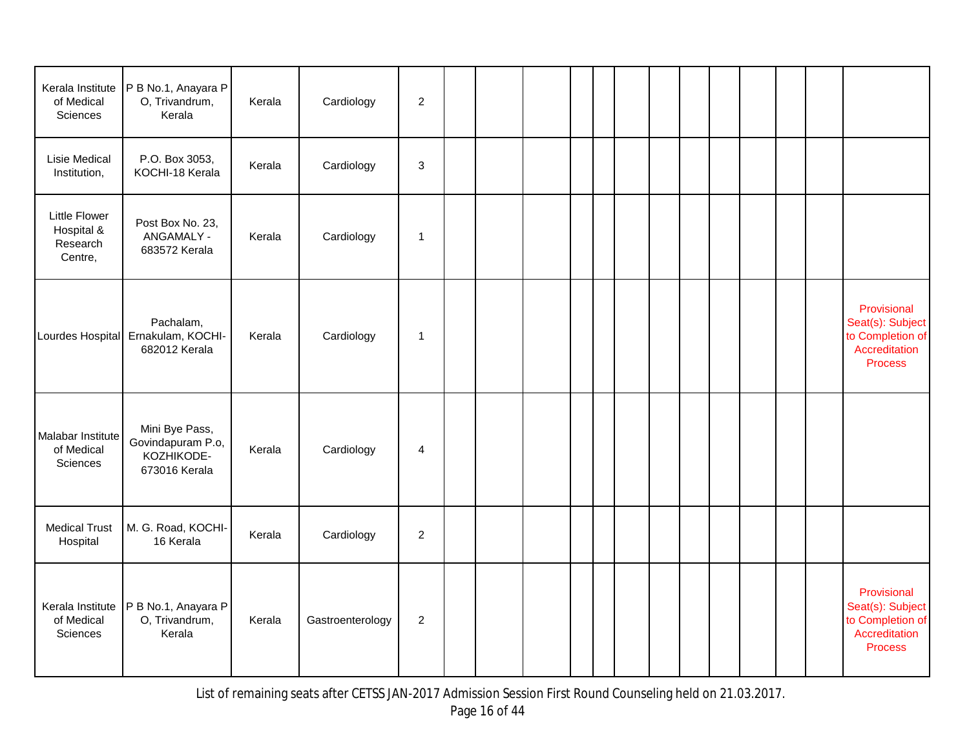| Kerala Institute<br>of Medical<br>Sciences                | P B No.1, Anayara P<br>O, Trivandrum,<br>Kerala                    | Kerala | Cardiology       | $\boldsymbol{2}$          |  |  |  |  |  |  |                                                                                        |
|-----------------------------------------------------------|--------------------------------------------------------------------|--------|------------------|---------------------------|--|--|--|--|--|--|----------------------------------------------------------------------------------------|
| Lisie Medical<br>Institution,                             | P.O. Box 3053,<br>KOCHI-18 Kerala                                  | Kerala | Cardiology       | $\ensuremath{\mathsf{3}}$ |  |  |  |  |  |  |                                                                                        |
| <b>Little Flower</b><br>Hospital &<br>Research<br>Centre, | Post Box No. 23,<br>ANGAMALY -<br>683572 Kerala                    | Kerala | Cardiology       | $\mathbf 1$               |  |  |  |  |  |  |                                                                                        |
|                                                           | Pachalam,<br>Lourdes Hospital Ernakulam, KOCHI-<br>682012 Kerala   | Kerala | Cardiology       | $\mathbf{1}$              |  |  |  |  |  |  | Provisional<br>Seat(s): Subject<br>to Completion of<br>Accreditation<br><b>Process</b> |
| Malabar Institute<br>of Medical<br>Sciences               | Mini Bye Pass,<br>Govindapuram P.o,<br>KOZHIKODE-<br>673016 Kerala | Kerala | Cardiology       | 4                         |  |  |  |  |  |  |                                                                                        |
| <b>Medical Trust</b><br>Hospital                          | M. G. Road, KOCHI-<br>16 Kerala                                    | Kerala | Cardiology       | $\overline{c}$            |  |  |  |  |  |  |                                                                                        |
| Kerala Institute<br>of Medical<br>Sciences                | P B No.1, Anayara P<br>O, Trivandrum,<br>Kerala                    | Kerala | Gastroenterology | $\overline{c}$            |  |  |  |  |  |  | Provisional<br>Seat(s): Subject<br>to Completion of<br>Accreditation<br><b>Process</b> |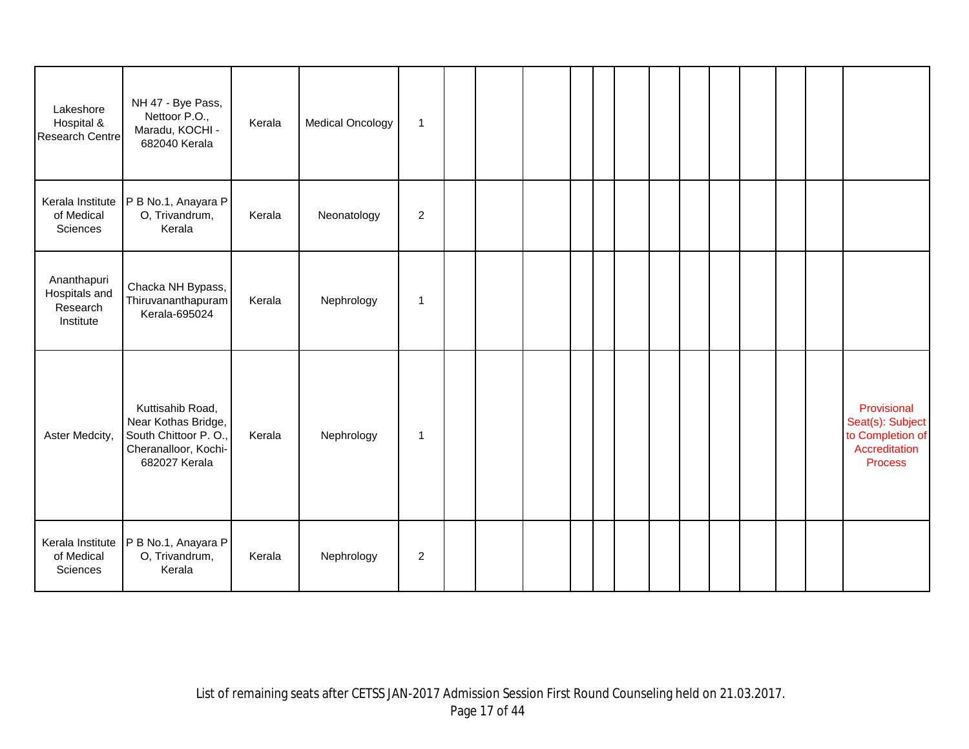| Lakeshore<br>Hospital &<br>Research Centre            | NH 47 - Bye Pass,<br>Nettoor P.O.,<br>Maradu, KOCHI -<br>682040 Kerala                                   | Kerala | <b>Medical Oncology</b> | $\mathbf{1}$   |  |  |  |  |  |  |                                                                                        |
|-------------------------------------------------------|----------------------------------------------------------------------------------------------------------|--------|-------------------------|----------------|--|--|--|--|--|--|----------------------------------------------------------------------------------------|
| Kerala Institute<br>of Medical<br>Sciences            | P B No.1, Anayara P<br>O, Trivandrum,<br>Kerala                                                          | Kerala | Neonatology             | $\overline{2}$ |  |  |  |  |  |  |                                                                                        |
| Ananthapuri<br>Hospitals and<br>Research<br>Institute | Chacka NH Bypass,<br>Thiruvananthapuram<br>Kerala-695024                                                 | Kerala | Nephrology              | $\mathbf{1}$   |  |  |  |  |  |  |                                                                                        |
| Aster Medcity,                                        | Kuttisahib Road,<br>Near Kothas Bridge,<br>South Chittoor P.O.,<br>Cheranalloor, Kochi-<br>682027 Kerala | Kerala | Nephrology              | $\mathbf{1}$   |  |  |  |  |  |  | Provisional<br>Seat(s): Subject<br>to Completion of<br>Accreditation<br><b>Process</b> |
| Kerala Institute<br>of Medical<br>Sciences            | P B No.1, Anayara P<br>O, Trivandrum,<br>Kerala                                                          | Kerala | Nephrology              | $\overline{c}$ |  |  |  |  |  |  |                                                                                        |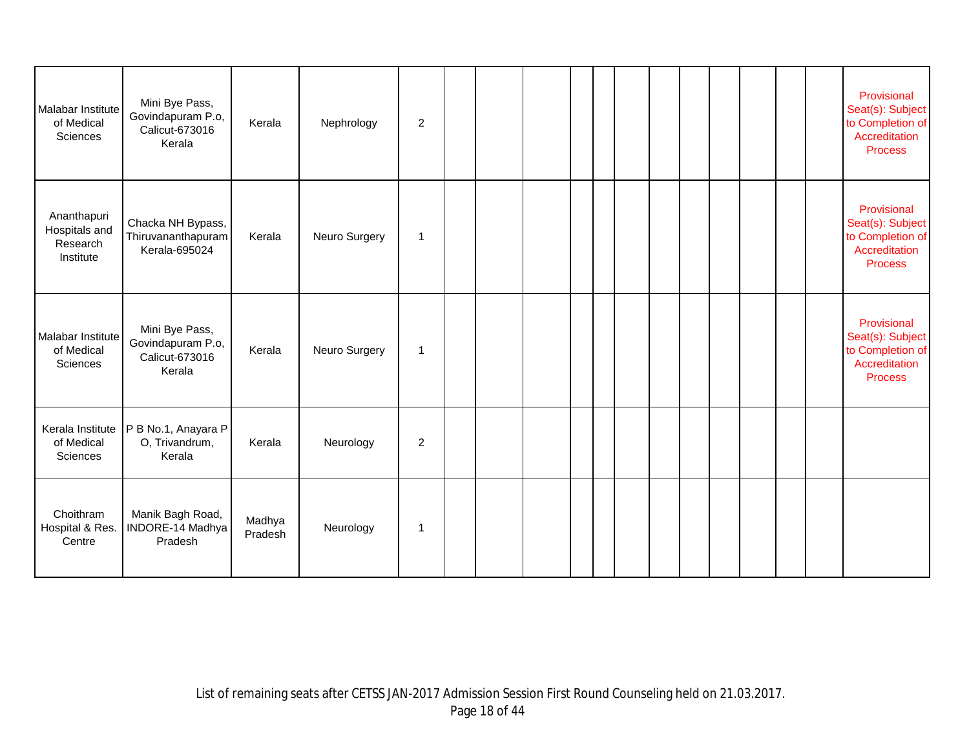| Malabar Institute<br>of Medical<br>Sciences           | Mini Bye Pass,<br>Govindapuram P.o,<br>Calicut-673016<br>Kerala | Kerala            | Nephrology    | $\overline{2}$ |  |  |  |  |  |  | Provisional<br>Seat(s): Subject<br>to Completion of<br>Accreditation<br><b>Process</b> |
|-------------------------------------------------------|-----------------------------------------------------------------|-------------------|---------------|----------------|--|--|--|--|--|--|----------------------------------------------------------------------------------------|
| Ananthapuri<br>Hospitals and<br>Research<br>Institute | Chacka NH Bypass,<br>Thiruvananthapuram<br>Kerala-695024        | Kerala            | Neuro Surgery | $\mathbf{1}$   |  |  |  |  |  |  | Provisional<br>Seat(s): Subject<br>to Completion of<br>Accreditation<br><b>Process</b> |
| Malabar Institute<br>of Medical<br>Sciences           | Mini Bye Pass,<br>Govindapuram P.o,<br>Calicut-673016<br>Kerala | Kerala            | Neuro Surgery | 1              |  |  |  |  |  |  | Provisional<br>Seat(s): Subject<br>to Completion of<br>Accreditation<br><b>Process</b> |
| Kerala Institute<br>of Medical<br>Sciences            | P B No.1, Anayara P<br>O, Trivandrum,<br>Kerala                 | Kerala            | Neurology     | $\overline{c}$ |  |  |  |  |  |  |                                                                                        |
| Choithram<br>Hospital & Res.<br>Centre                | Manik Bagh Road,<br>INDORE-14 Madhya<br>Pradesh                 | Madhya<br>Pradesh | Neurology     | 1              |  |  |  |  |  |  |                                                                                        |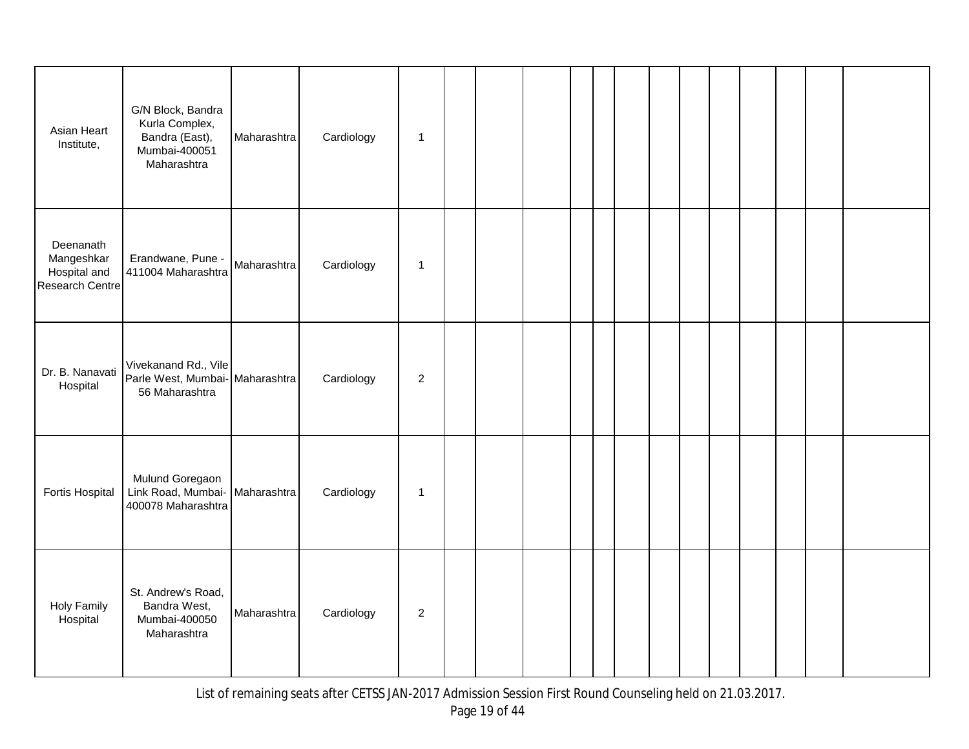| Asian Heart<br>Institute,                                  | G/N Block, Bandra<br>Kurla Complex,<br>Bandra (East),<br>Mumbai-400051<br>Maharashtra | Maharashtra | Cardiology | $\mathbf{1}$ |  |  |  |  |  |  |
|------------------------------------------------------------|---------------------------------------------------------------------------------------|-------------|------------|--------------|--|--|--|--|--|--|
| Deenanath<br>Mangeshkar<br>Hospital and<br>Research Centre | Erandwane, Pune -<br>411004 Maharashtra                                               | Maharashtra | Cardiology | $\mathbf{1}$ |  |  |  |  |  |  |
| Dr. B. Nanavati<br>Hospital                                | Vivekanand Rd., Vile<br>Parle West, Mumbai- Maharashtra<br>56 Maharashtra             |             | Cardiology | 2            |  |  |  |  |  |  |
| Fortis Hospital                                            | Mulund Goregaon<br>Link Road, Mumbai- Maharashtra<br>400078 Maharashtra               |             | Cardiology | $\mathbf{1}$ |  |  |  |  |  |  |
| <b>Holy Family</b><br>Hospital                             | St. Andrew's Road,<br>Bandra West,<br>Mumbai-400050<br>Maharashtra                    | Maharashtra | Cardiology | 2            |  |  |  |  |  |  |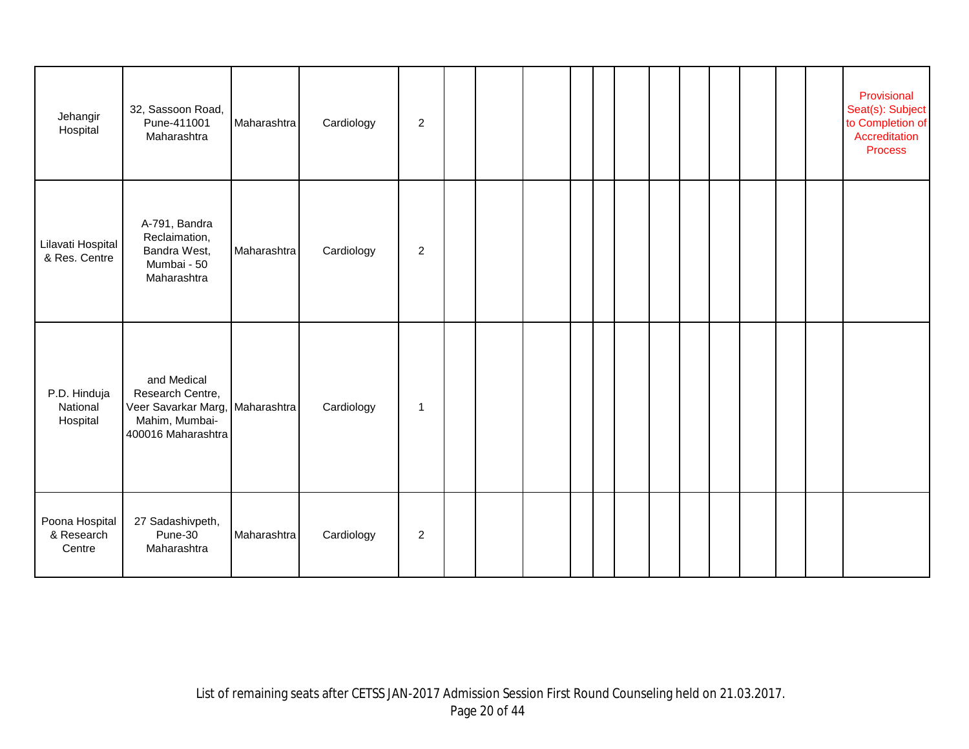| Jehangir<br>Hospital                   | 32, Sassoon Road,<br>Pune-411001<br>Maharashtra                                                | Maharashtra | Cardiology | $\overline{c}$ |  |  |  |  |  |  | Provisional<br>Seat(s): Subject<br>to Completion of<br>Accreditation<br><b>Process</b> |
|----------------------------------------|------------------------------------------------------------------------------------------------|-------------|------------|----------------|--|--|--|--|--|--|----------------------------------------------------------------------------------------|
| Lilavati Hospital<br>& Res. Centre     | A-791, Bandra<br>Reclaimation,<br>Bandra West,<br>Mumbai - 50<br>Maharashtra                   | Maharashtra | Cardiology | $\overline{c}$ |  |  |  |  |  |  |                                                                                        |
| P.D. Hinduja<br>National<br>Hospital   | and Medical<br>Research Centre,<br>Veer Savarkar Marg,<br>Mahim, Mumbai-<br>400016 Maharashtra | Maharashtra | Cardiology | $\mathbf 1$    |  |  |  |  |  |  |                                                                                        |
| Poona Hospital<br>& Research<br>Centre | 27 Sadashivpeth,<br>Pune-30<br>Maharashtra                                                     | Maharashtra | Cardiology | $\overline{c}$ |  |  |  |  |  |  |                                                                                        |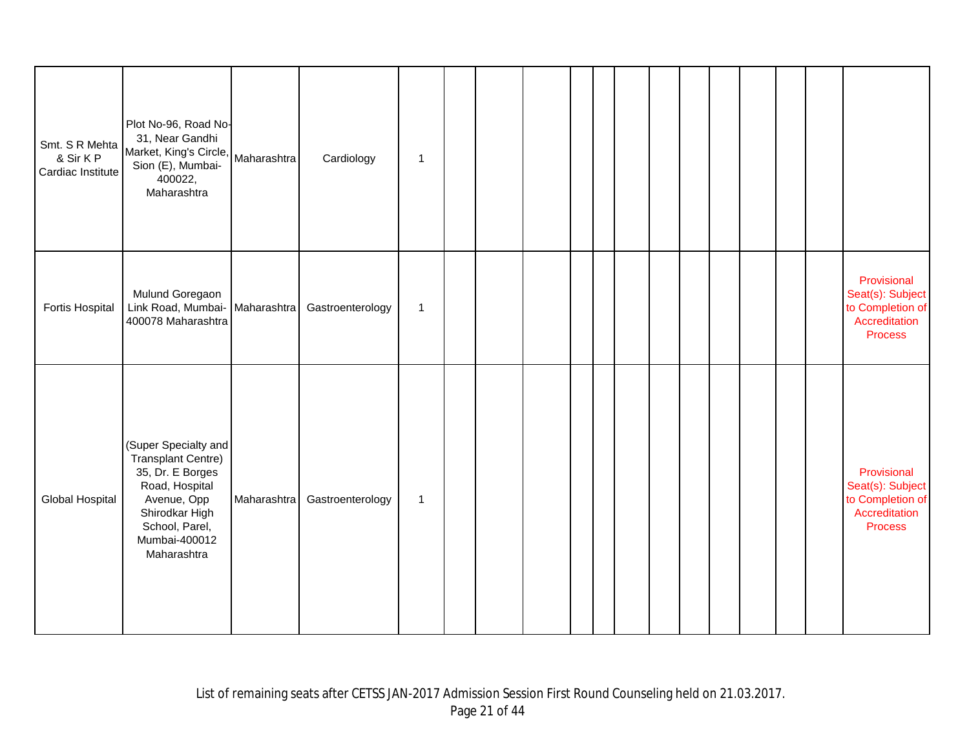| Smt. S R Mehta<br>& Sir K P<br>Cardiac Institute | Plot No-96, Road No-<br>31, Near Gandhi<br>Market, King's Circle,<br>Sion (E), Mumbai-<br>400022,<br>Maharashtra                                                           | Maharashtra | Cardiology       | $\mathbf{1}$ |  |  |  |  |  |  |                                                                                        |
|--------------------------------------------------|----------------------------------------------------------------------------------------------------------------------------------------------------------------------------|-------------|------------------|--------------|--|--|--|--|--|--|----------------------------------------------------------------------------------------|
| <b>Fortis Hospital</b>                           | Mulund Goregaon<br>Link Road, Mumbai- Maharashtra<br>400078 Maharashtra                                                                                                    |             | Gastroenterology | $\mathbf{1}$ |  |  |  |  |  |  | Provisional<br>Seat(s): Subject<br>to Completion of<br>Accreditation<br><b>Process</b> |
| Global Hospital                                  | (Super Specialty and<br><b>Transplant Centre)</b><br>35, Dr. E Borges<br>Road, Hospital<br>Avenue, Opp<br>Shirodkar High<br>School, Parel,<br>Mumbai-400012<br>Maharashtra | Maharashtra | Gastroenterology | $\mathbf{1}$ |  |  |  |  |  |  | Provisional<br>Seat(s): Subject<br>to Completion of<br>Accreditation<br><b>Process</b> |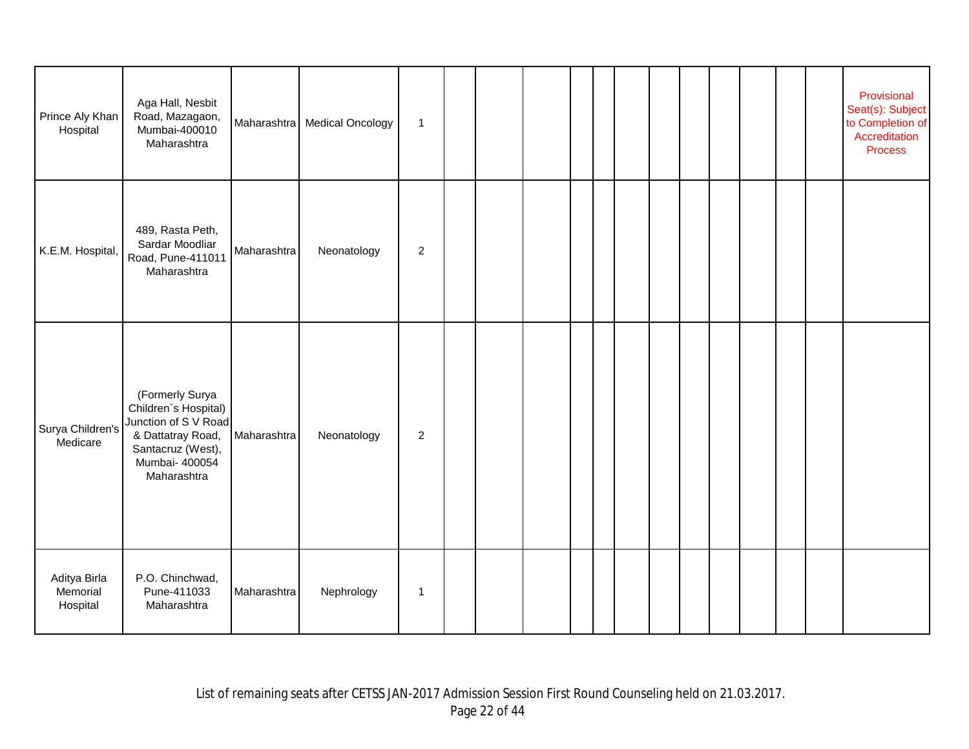| Prince Aly Khan<br>Hospital          | Aga Hall, Nesbit<br>Road, Mazagaon,<br>Mumbai-400010<br>Maharashtra                                                                        |             | Maharashtra Medical Oncology | $\mathbf{1}$   |  |  |  |  |  |  | Provisional<br>Seat(s): Subject<br>to Completion of<br>Accreditation<br><b>Process</b> |
|--------------------------------------|--------------------------------------------------------------------------------------------------------------------------------------------|-------------|------------------------------|----------------|--|--|--|--|--|--|----------------------------------------------------------------------------------------|
| K.E.M. Hospital,                     | 489, Rasta Peth,<br>Sardar Moodliar<br>Road, Pune-411011<br>Maharashtra                                                                    | Maharashtra | Neonatology                  | $\overline{c}$ |  |  |  |  |  |  |                                                                                        |
| Surya Children's<br>Medicare         | (Formerly Surya<br>Children's Hospital)<br>Junction of S V Road<br>& Dattatray Road,<br>Santacruz (West),<br>Mumbai- 400054<br>Maharashtra | Maharashtra | Neonatology                  | $\overline{c}$ |  |  |  |  |  |  |                                                                                        |
| Aditya Birla<br>Memorial<br>Hospital | P.O. Chinchwad,<br>Pune-411033<br>Maharashtra                                                                                              | Maharashtra | Nephrology                   | $\mathbf{1}$   |  |  |  |  |  |  |                                                                                        |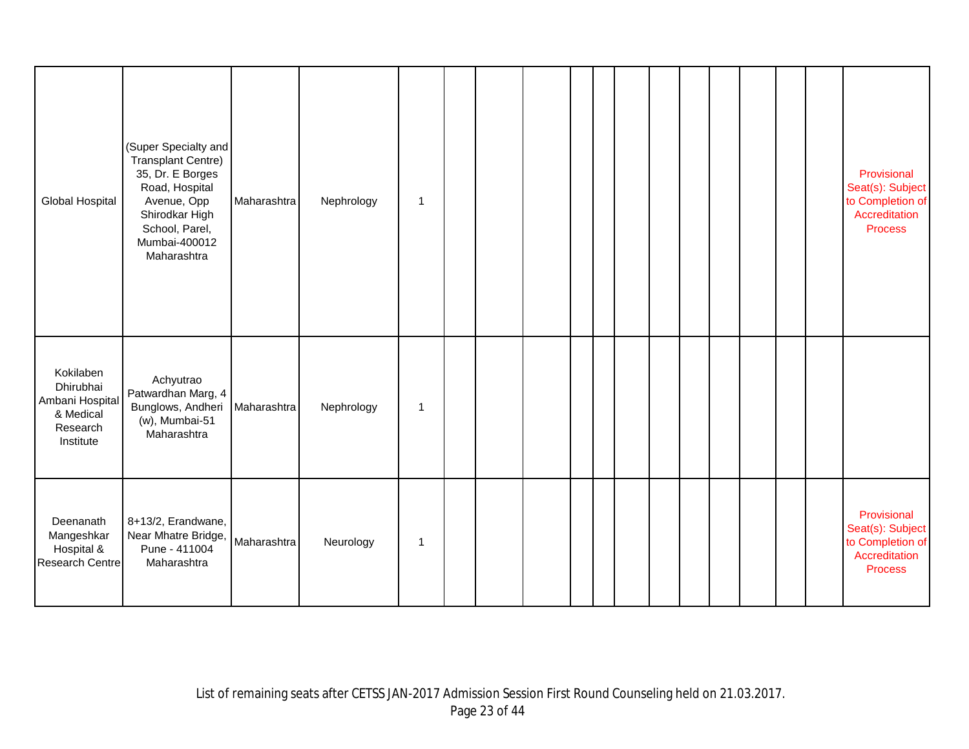| Global Hospital                                                                 | (Super Specialty and<br><b>Transplant Centre)</b><br>35, Dr. E Borges<br>Road, Hospital<br>Avenue, Opp<br>Shirodkar High<br>School, Parel,<br>Mumbai-400012<br>Maharashtra | Maharashtra | Nephrology | $\mathbf 1$ |  |  |  |  |  |  | Provisional<br>Seat(s): Subject<br>to Completion of<br>Accreditation<br><b>Process</b> |
|---------------------------------------------------------------------------------|----------------------------------------------------------------------------------------------------------------------------------------------------------------------------|-------------|------------|-------------|--|--|--|--|--|--|----------------------------------------------------------------------------------------|
| Kokilaben<br>Dhirubhai<br>Ambani Hospital<br>& Medical<br>Research<br>Institute | Achyutrao<br>Patwardhan Marg, 4<br>Bunglows, Andheri<br>(w), Mumbai-51<br>Maharashtra                                                                                      | Maharashtra | Nephrology | $\mathbf 1$ |  |  |  |  |  |  |                                                                                        |
| Deenanath<br>Mangeshkar<br>Hospital &<br><b>Research Centre</b>                 | 8+13/2, Erandwane,<br>Near Mhatre Bridge,<br>Pune - 411004<br>Maharashtra                                                                                                  | Maharashtra | Neurology  | 1           |  |  |  |  |  |  | Provisional<br>Seat(s): Subject<br>to Completion of<br>Accreditation<br><b>Process</b> |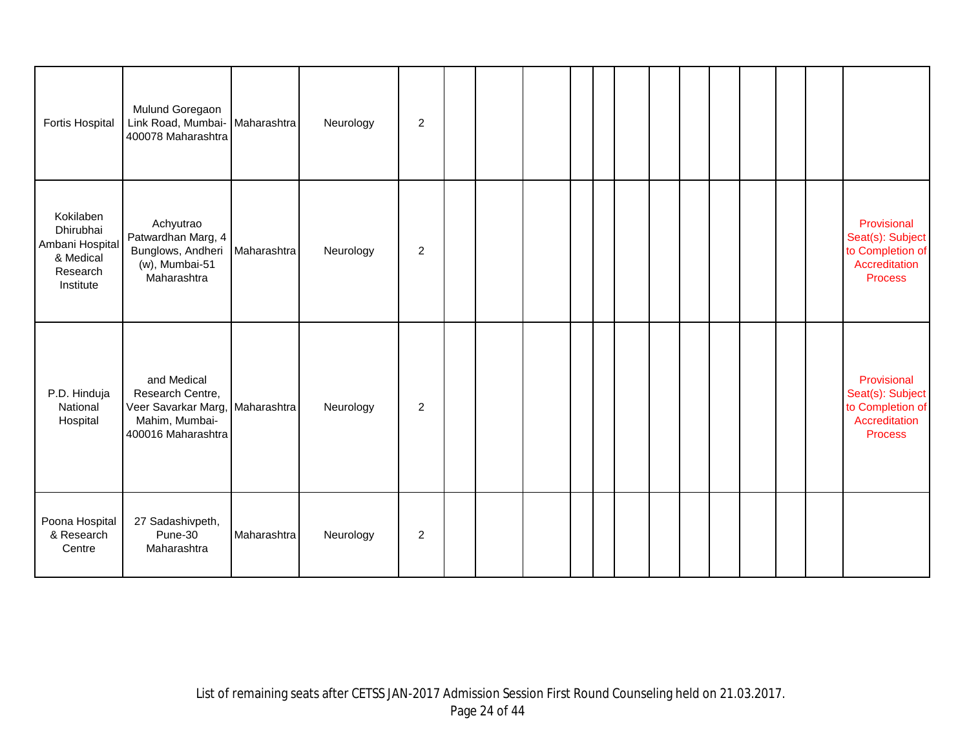| <b>Fortis Hospital</b>                                                          | Mulund Goregaon<br>Link Road, Mumbai-<br>400078 Maharashtra                                                | Maharashtra | Neurology | $\overline{2}$ |  |  |  |  |  |  |                                                                                        |
|---------------------------------------------------------------------------------|------------------------------------------------------------------------------------------------------------|-------------|-----------|----------------|--|--|--|--|--|--|----------------------------------------------------------------------------------------|
| Kokilaben<br>Dhirubhai<br>Ambani Hospital<br>& Medical<br>Research<br>Institute | Achyutrao<br>Patwardhan Marg, 4<br>Bunglows, Andheri<br>(w), Mumbai-51<br>Maharashtra                      | Maharashtra | Neurology | $\overline{c}$ |  |  |  |  |  |  | Provisional<br>Seat(s): Subject<br>to Completion of<br>Accreditation<br><b>Process</b> |
| P.D. Hinduja<br>National<br>Hospital                                            | and Medical<br>Research Centre,<br>Veer Savarkar Marg, Maharashtra<br>Mahim, Mumbai-<br>400016 Maharashtra |             | Neurology | 2              |  |  |  |  |  |  | Provisional<br>Seat(s): Subject<br>to Completion of<br>Accreditation<br><b>Process</b> |
| Poona Hospital<br>& Research<br>Centre                                          | 27 Sadashivpeth,<br>Pune-30<br>Maharashtra                                                                 | Maharashtra | Neurology | $\overline{2}$ |  |  |  |  |  |  |                                                                                        |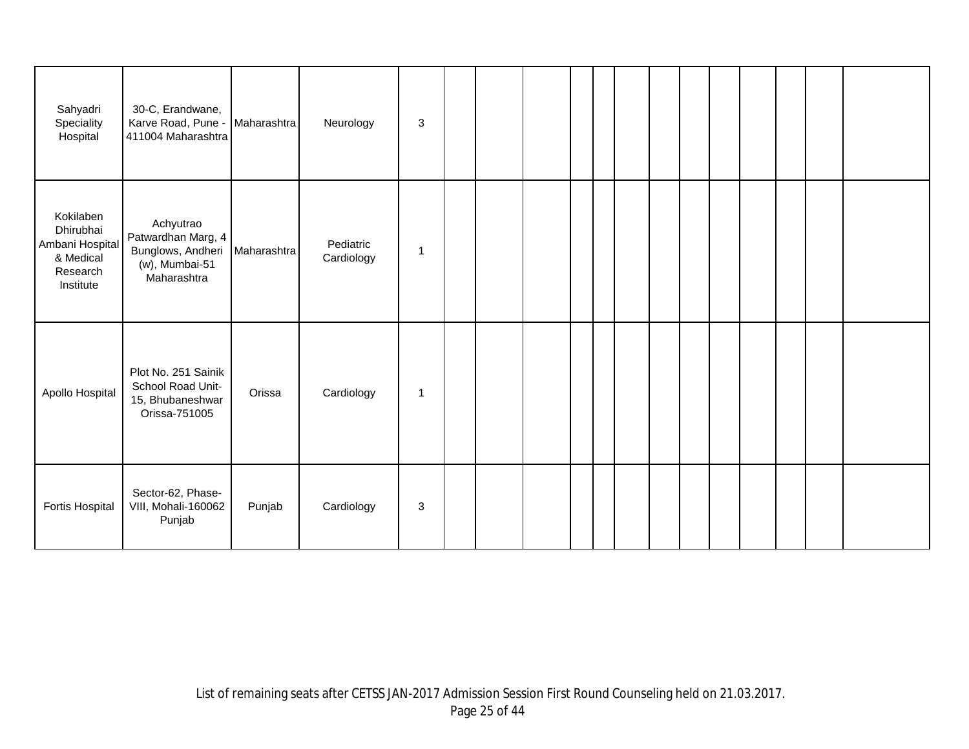| Sahyadri<br>Speciality<br>Hospital                                              | 30-C, Erandwane,<br>Karve Road, Pune -<br>411004 Maharashtra                          | Maharashtra | Neurology               | $\sqrt{3}$  |  |  |  |  |  |  |  |
|---------------------------------------------------------------------------------|---------------------------------------------------------------------------------------|-------------|-------------------------|-------------|--|--|--|--|--|--|--|
| Kokilaben<br>Dhirubhai<br>Ambani Hospital<br>& Medical<br>Research<br>Institute | Achyutrao<br>Patwardhan Marg, 4<br>Bunglows, Andheri<br>(w), Mumbai-51<br>Maharashtra | Maharashtra | Pediatric<br>Cardiology | -1          |  |  |  |  |  |  |  |
| Apollo Hospital                                                                 | Plot No. 251 Sainik<br>School Road Unit-<br>15, Bhubaneshwar<br>Orissa-751005         | Orissa      | Cardiology              | $\mathbf 1$ |  |  |  |  |  |  |  |
| Fortis Hospital                                                                 | Sector-62, Phase-<br>VIII, Mohali-160062<br>Punjab                                    | Punjab      | Cardiology              | 3           |  |  |  |  |  |  |  |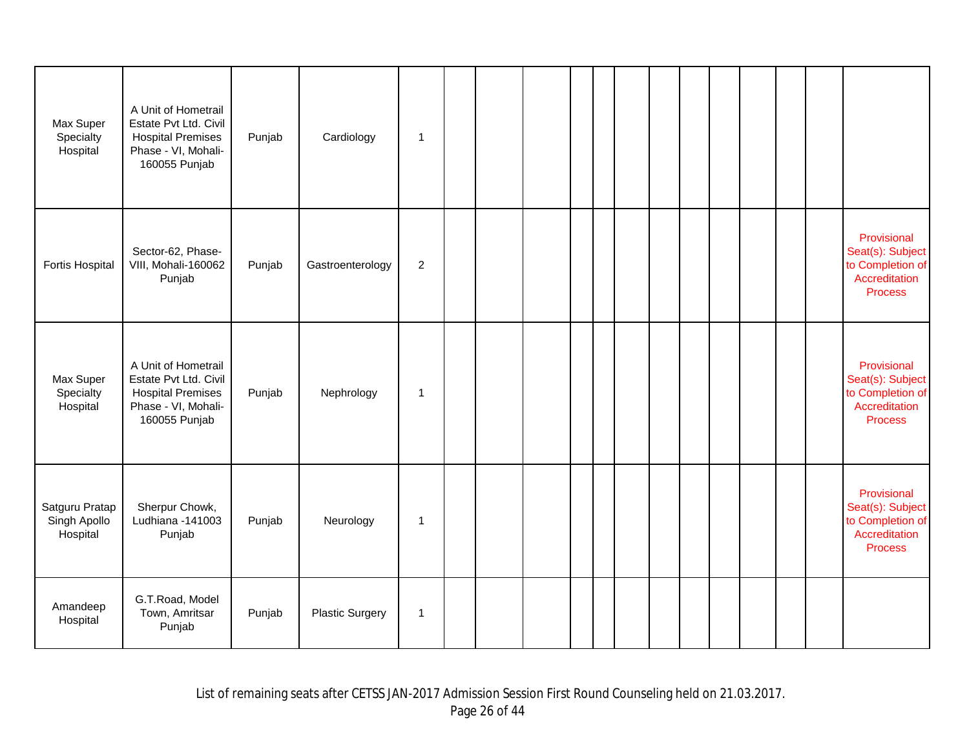| Max Super<br>Specialty<br>Hospital         | A Unit of Hometrail<br>Estate Pvt Ltd. Civil<br><b>Hospital Premises</b><br>Phase - VI, Mohali-<br>160055 Punjab | Punjab | Cardiology             | 1              |  |  |  |  |  |  |                                                                                        |
|--------------------------------------------|------------------------------------------------------------------------------------------------------------------|--------|------------------------|----------------|--|--|--|--|--|--|----------------------------------------------------------------------------------------|
| Fortis Hospital                            | Sector-62, Phase-<br>VIII, Mohali-160062<br>Punjab                                                               | Punjab | Gastroenterology       | $\overline{c}$ |  |  |  |  |  |  | Provisional<br>Seat(s): Subject<br>to Completion of<br>Accreditation<br><b>Process</b> |
| Max Super<br>Specialty<br>Hospital         | A Unit of Hometrail<br>Estate Pvt Ltd. Civil<br><b>Hospital Premises</b><br>Phase - VI, Mohali-<br>160055 Punjab | Punjab | Nephrology             | $\mathbf 1$    |  |  |  |  |  |  | Provisional<br>Seat(s): Subject<br>to Completion of<br>Accreditation<br><b>Process</b> |
| Satguru Pratap<br>Singh Apollo<br>Hospital | Sherpur Chowk,<br>Ludhiana -141003<br>Punjab                                                                     | Punjab | Neurology              | $\mathbf 1$    |  |  |  |  |  |  | Provisional<br>Seat(s): Subject<br>to Completion of<br>Accreditation<br><b>Process</b> |
| Amandeep<br>Hospital                       | G.T.Road, Model<br>Town, Amritsar<br>Punjab                                                                      | Punjab | <b>Plastic Surgery</b> | 1              |  |  |  |  |  |  |                                                                                        |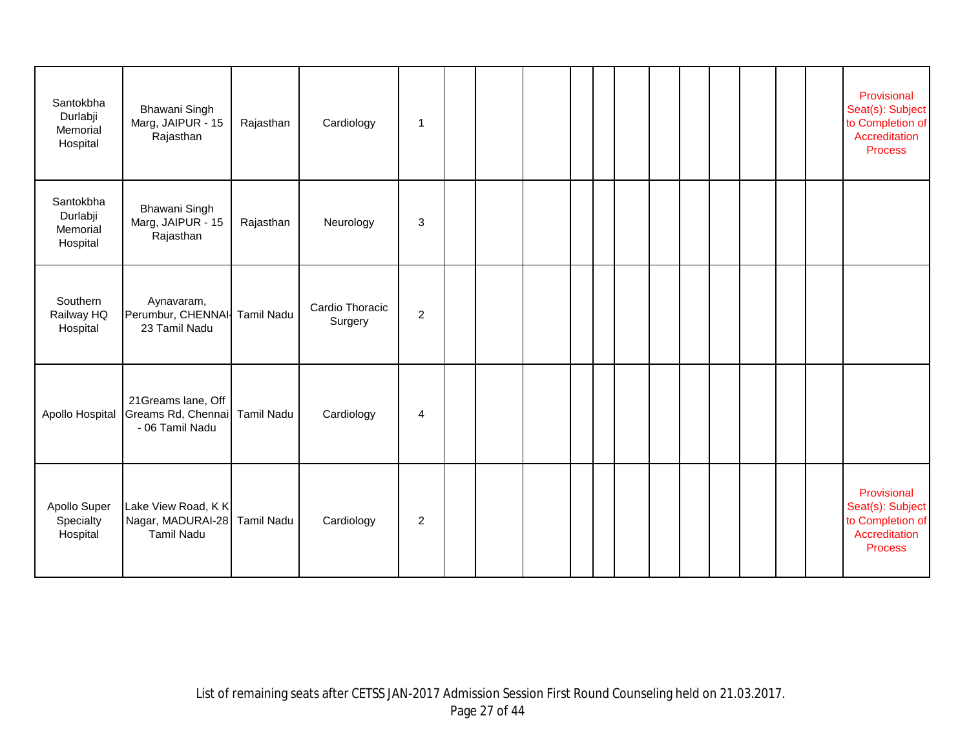| Santokbha<br>Durlabji<br>Memorial<br>Hospital | <b>Bhawani Singh</b><br>Marg, JAIPUR - 15<br>Rajasthan                 | Rajasthan         | Cardiology                 | 1              |  |  |  |  |  |  | Provisional<br>Seat(s): Subject<br>to Completion of<br>Accreditation<br><b>Process</b> |
|-----------------------------------------------|------------------------------------------------------------------------|-------------------|----------------------------|----------------|--|--|--|--|--|--|----------------------------------------------------------------------------------------|
| Santokbha<br>Durlabji<br>Memorial<br>Hospital | <b>Bhawani Singh</b><br>Marg, JAIPUR - 15<br>Rajasthan                 | Rajasthan         | Neurology                  | 3              |  |  |  |  |  |  |                                                                                        |
| Southern<br>Railway HQ<br>Hospital            | Aynavaram,<br>Perumbur, CHENNAI- Tamil Nadu<br>23 Tamil Nadu           |                   | Cardio Thoracic<br>Surgery | $\overline{c}$ |  |  |  |  |  |  |                                                                                        |
| Apollo Hospital                               | 21Greams lane, Off<br>Greams Rd, Chennai Tamil Nadu<br>- 06 Tamil Nadu |                   | Cardiology                 | 4              |  |  |  |  |  |  |                                                                                        |
| Apollo Super<br>Specialty<br>Hospital         | Lake View Road, KK<br>Nagar, MADURAI-28<br><b>Tamil Nadu</b>           | <b>Tamil Nadu</b> | Cardiology                 | $\overline{c}$ |  |  |  |  |  |  | Provisional<br>Seat(s): Subject<br>to Completion of<br>Accreditation<br><b>Process</b> |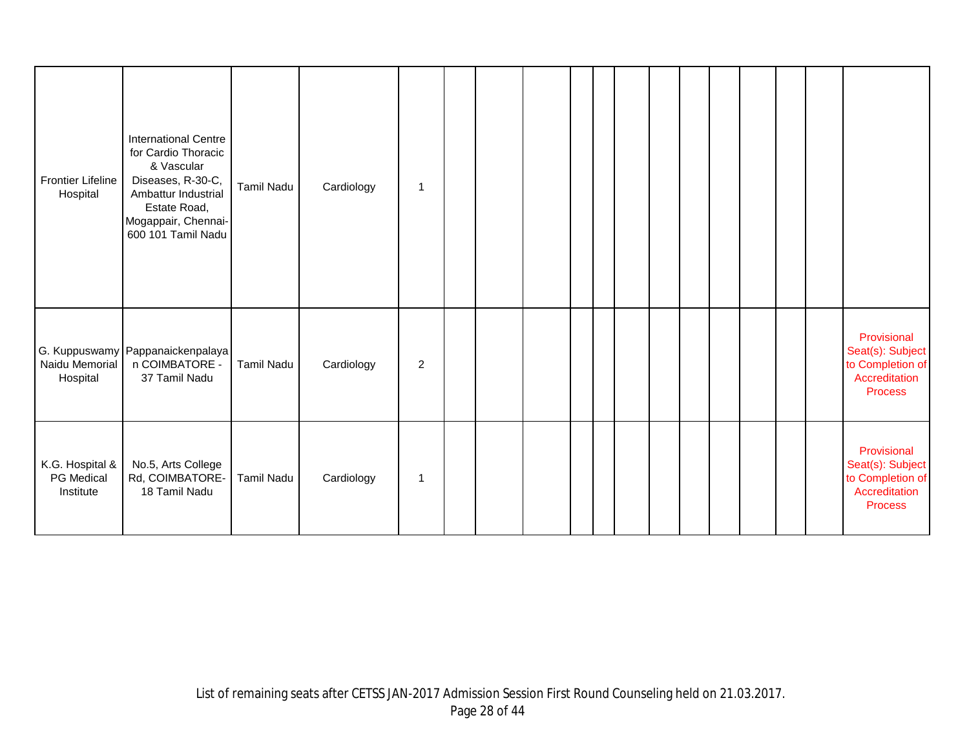| <b>Frontier Lifeline</b><br>Hospital       | <b>International Centre</b><br>for Cardio Thoracic<br>& Vascular<br>Diseases, R-30-C,<br>Ambattur Industrial<br>Estate Road,<br>Mogappair, Chennai-<br>600 101 Tamil Nadu | <b>Tamil Nadu</b> | Cardiology | $\mathbf{1}$   |  |  |  |  |  |  |                                                                                        |
|--------------------------------------------|---------------------------------------------------------------------------------------------------------------------------------------------------------------------------|-------------------|------------|----------------|--|--|--|--|--|--|----------------------------------------------------------------------------------------|
| Naidu Memorial<br>Hospital                 | G. Kuppuswamy Pappanaickenpalaya<br>n COIMBATORE -<br>37 Tamil Nadu                                                                                                       | Tamil Nadu        | Cardiology | $\overline{c}$ |  |  |  |  |  |  | Provisional<br>Seat(s): Subject<br>to Completion of<br>Accreditation<br><b>Process</b> |
| K.G. Hospital &<br>PG Medical<br>Institute | No.5, Arts College<br>Rd, COIMBATORE-<br>18 Tamil Nadu                                                                                                                    | <b>Tamil Nadu</b> | Cardiology | 1              |  |  |  |  |  |  | Provisional<br>Seat(s): Subject<br>to Completion of<br>Accreditation<br><b>Process</b> |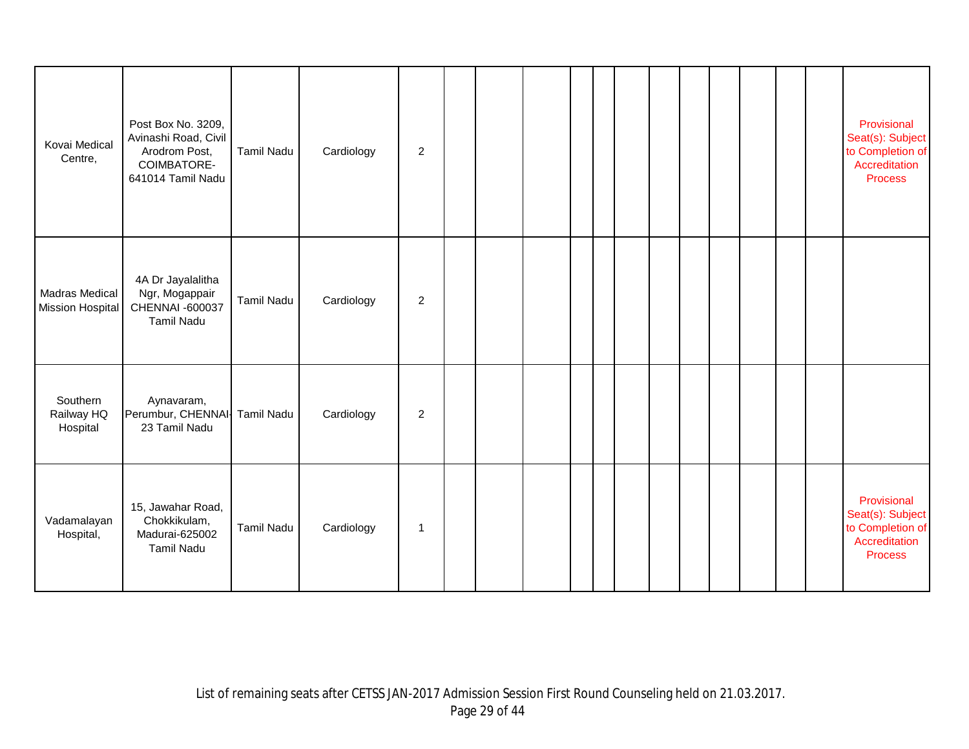| Kovai Medical<br>Centre,                         | Post Box No. 3209,<br>Avinashi Road, Civil<br>Arodrom Post,<br>COIMBATORE-<br>641014 Tamil Nadu | <b>Tamil Nadu</b> | Cardiology | $\overline{a}$ |  |  |  |  |  |  | Provisional<br>Seat(s): Subject<br>to Completion of<br>Accreditation<br>Process        |
|--------------------------------------------------|-------------------------------------------------------------------------------------------------|-------------------|------------|----------------|--|--|--|--|--|--|----------------------------------------------------------------------------------------|
| <b>Madras Medical</b><br><b>Mission Hospital</b> | 4A Dr Jayalalitha<br>Ngr, Mogappair<br>CHENNAI -600037<br><b>Tamil Nadu</b>                     | Tamil Nadu        | Cardiology | $\overline{a}$ |  |  |  |  |  |  |                                                                                        |
| Southern<br>Railway HQ<br>Hospital               | Aynavaram,<br>Perumbur, CHENNAI- Tamil Nadu<br>23 Tamil Nadu                                    |                   | Cardiology | $\overline{a}$ |  |  |  |  |  |  |                                                                                        |
| Vadamalayan<br>Hospital,                         | 15, Jawahar Road,<br>Chokkikulam,<br>Madurai-625002<br>Tamil Nadu                               | <b>Tamil Nadu</b> | Cardiology | $\mathbf 1$    |  |  |  |  |  |  | Provisional<br>Seat(s): Subject<br>to Completion of<br>Accreditation<br><b>Process</b> |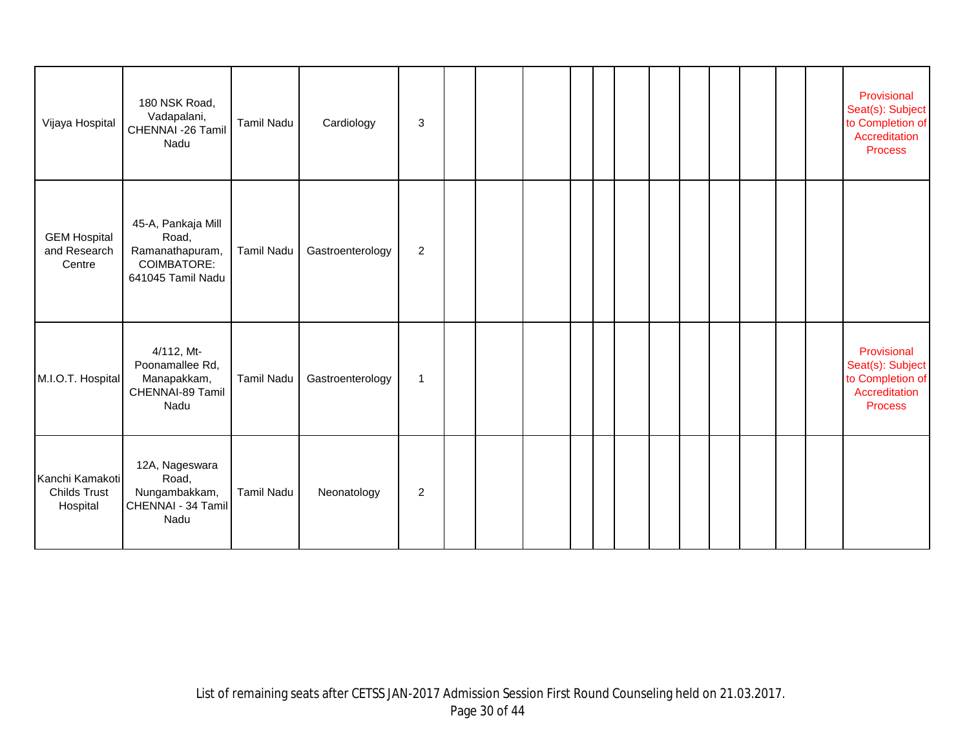| Vijaya Hospital                                    | 180 NSK Road,<br>Vadapalani,<br>CHENNAI -26 Tamil<br>Nadu                                 | <b>Tamil Nadu</b> | Cardiology       | 3              |  |  |  |  |  |  | Provisional<br>Seat(s): Subject<br>to Completion of<br>Accreditation<br><b>Process</b> |
|----------------------------------------------------|-------------------------------------------------------------------------------------------|-------------------|------------------|----------------|--|--|--|--|--|--|----------------------------------------------------------------------------------------|
| <b>GEM Hospital</b><br>and Research<br>Centre      | 45-A, Pankaja Mill<br>Road,<br>Ramanathapuram,<br><b>COIMBATORE:</b><br>641045 Tamil Nadu | Tamil Nadu        | Gastroenterology | $\overline{2}$ |  |  |  |  |  |  |                                                                                        |
| M.I.O.T. Hospital                                  | 4/112, Mt-<br>Poonamallee Rd,<br>Manapakkam,<br>CHENNAI-89 Tamil<br>Nadu                  | <b>Tamil Nadu</b> | Gastroenterology | $\mathbf{1}$   |  |  |  |  |  |  | Provisional<br>Seat(s): Subject<br>to Completion of<br>Accreditation<br><b>Process</b> |
| Kanchi Kamakoti<br><b>Childs Trust</b><br>Hospital | 12A, Nageswara<br>Road,<br>Nungambakkam,<br>CHENNAI - 34 Tamil<br>Nadu                    | <b>Tamil Nadu</b> | Neonatology      | $\overline{2}$ |  |  |  |  |  |  |                                                                                        |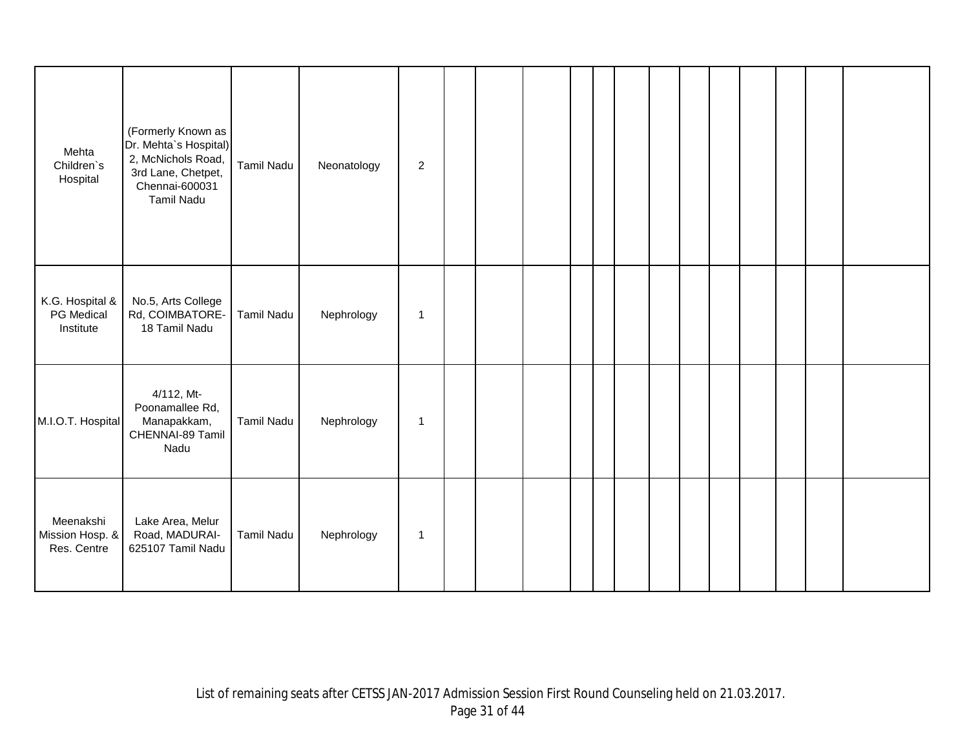| Mehta<br>Children's<br>Hospital             | (Formerly Known as<br>Dr. Mehta's Hospital)<br>2, McNichols Road,<br>3rd Lane, Chetpet,<br>Chennai-600031<br>Tamil Nadu | Tamil Nadu        | Neonatology | 2            |  |  |  |  |  |  |  |
|---------------------------------------------|-------------------------------------------------------------------------------------------------------------------------|-------------------|-------------|--------------|--|--|--|--|--|--|--|
| K.G. Hospital &<br>PG Medical<br>Institute  | No.5, Arts College<br>Rd, COIMBATORE-<br>18 Tamil Nadu                                                                  | <b>Tamil Nadu</b> | Nephrology  | $\mathbf{1}$ |  |  |  |  |  |  |  |
| M.I.O.T. Hospital                           | 4/112, Mt-<br>Poonamallee Rd,<br>Manapakkam,<br>CHENNAI-89 Tamil<br>Nadu                                                | Tamil Nadu        | Nephrology  | $\mathbf{1}$ |  |  |  |  |  |  |  |
| Meenakshi<br>Mission Hosp. &<br>Res. Centre | Lake Area, Melur<br>Road, MADURAI-<br>625107 Tamil Nadu                                                                 | <b>Tamil Nadu</b> | Nephrology  | $\mathbf{1}$ |  |  |  |  |  |  |  |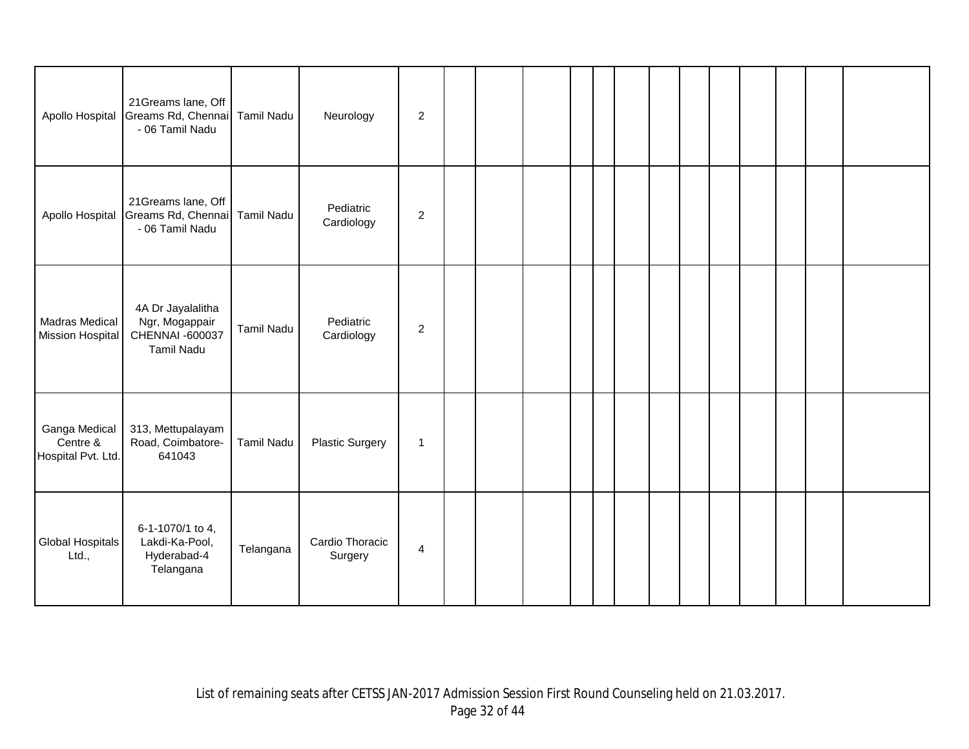| Apollo Hospital                                 | 21Greams lane, Off<br>Greams Rd, Chennai<br>- 06 Tamil Nadu                 | <b>Tamil Nadu</b> | Neurology                  | $\boldsymbol{2}$ |  |  |  |  |  |  |  |
|-------------------------------------------------|-----------------------------------------------------------------------------|-------------------|----------------------------|------------------|--|--|--|--|--|--|--|
| Apollo Hospital                                 | 21Greams lane, Off<br>Greams Rd, Chennai<br>- 06 Tamil Nadu                 | <b>Tamil Nadu</b> | Pediatric<br>Cardiology    | $\boldsymbol{2}$ |  |  |  |  |  |  |  |
| Madras Medical<br><b>Mission Hospital</b>       | 4A Dr Jayalalitha<br>Ngr, Mogappair<br>CHENNAI -600037<br><b>Tamil Nadu</b> | <b>Tamil Nadu</b> | Pediatric<br>Cardiology    | $\boldsymbol{2}$ |  |  |  |  |  |  |  |
| Ganga Medical<br>Centre &<br>Hospital Pvt. Ltd. | 313, Mettupalayam<br>Road, Coimbatore-<br>641043                            | <b>Tamil Nadu</b> | <b>Plastic Surgery</b>     | $\mathbf{1}$     |  |  |  |  |  |  |  |
| Global Hospitals<br>Ltd.,                       | 6-1-1070/1 to 4,<br>Lakdi-Ka-Pool,<br>Hyderabad-4<br>Telangana              | Telangana         | Cardio Thoracic<br>Surgery | $\overline{4}$   |  |  |  |  |  |  |  |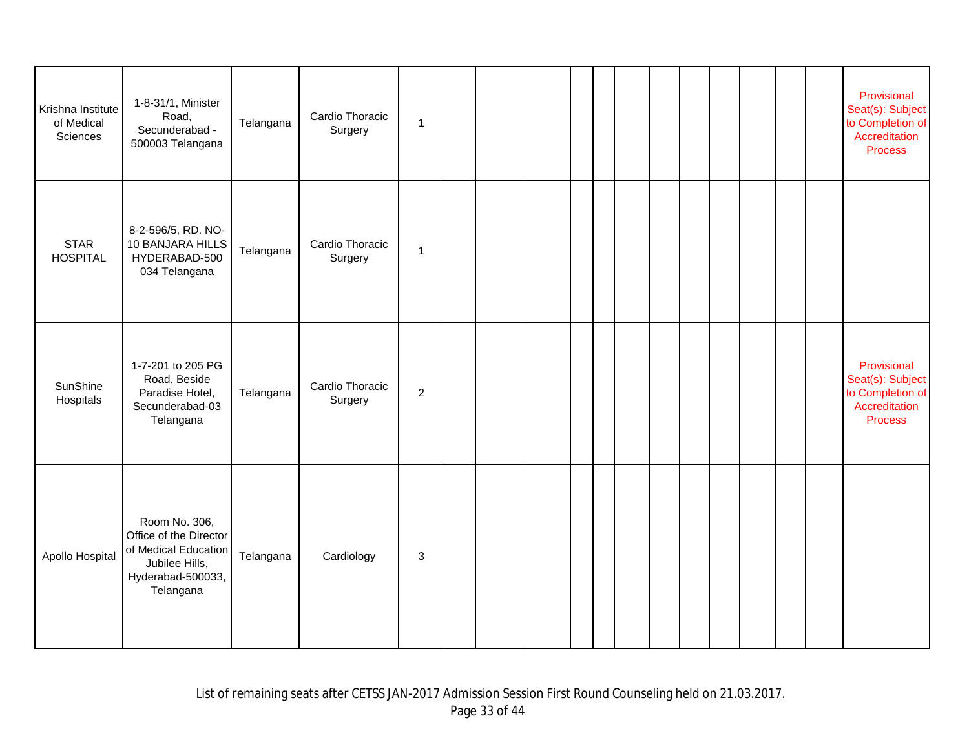| Krishna Institute<br>of Medical<br>Sciences | 1-8-31/1, Minister<br>Road,<br>Secunderabad -<br>500003 Telangana                                                   | Telangana | Cardio Thoracic<br>Surgery | $\mathbf{1}$   |  |  |  |  |  |  | Provisional<br>Seat(s): Subject<br>to Completion of<br>Accreditation<br><b>Process</b> |
|---------------------------------------------|---------------------------------------------------------------------------------------------------------------------|-----------|----------------------------|----------------|--|--|--|--|--|--|----------------------------------------------------------------------------------------|
| <b>STAR</b><br><b>HOSPITAL</b>              | 8-2-596/5, RD. NO-<br>10 BANJARA HILLS<br>HYDERABAD-500<br>034 Telangana                                            | Telangana | Cardio Thoracic<br>Surgery | $\mathbf{1}$   |  |  |  |  |  |  |                                                                                        |
| SunShine<br>Hospitals                       | 1-7-201 to 205 PG<br>Road, Beside<br>Paradise Hotel,<br>Secunderabad-03<br>Telangana                                | Telangana | Cardio Thoracic<br>Surgery | $\overline{2}$ |  |  |  |  |  |  | Provisional<br>Seat(s): Subject<br>to Completion of<br>Accreditation<br><b>Process</b> |
| Apollo Hospital                             | Room No. 306,<br>Office of the Director<br>of Medical Education<br>Jubilee Hills,<br>Hyderabad-500033,<br>Telangana | Telangana | Cardiology                 | 3              |  |  |  |  |  |  |                                                                                        |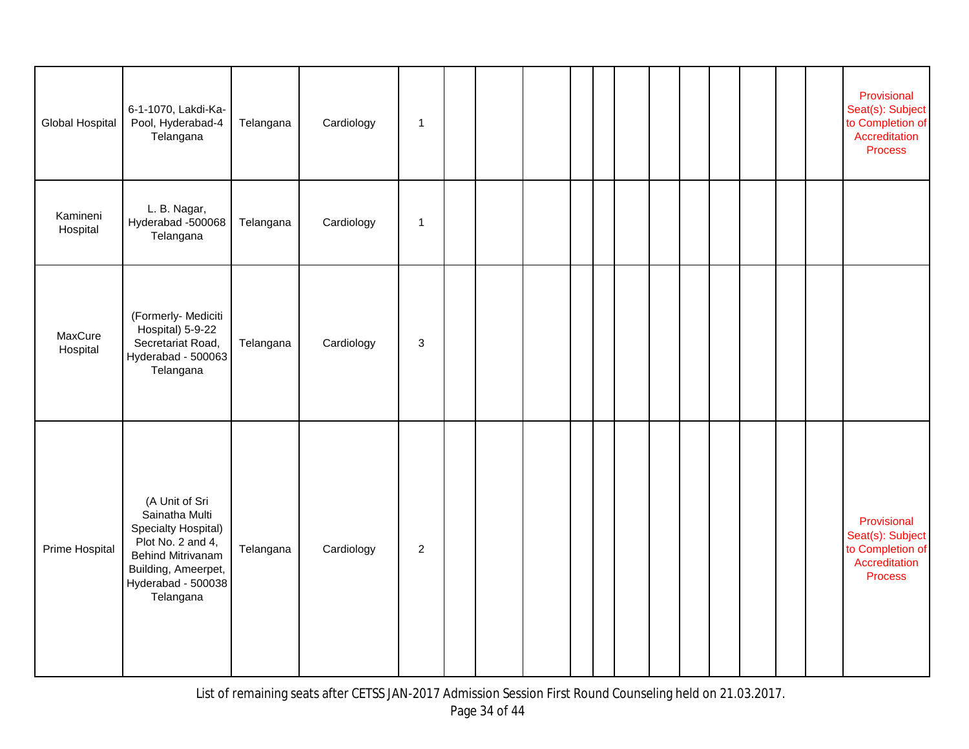| Global Hospital      | 6-1-1070, Lakdi-Ka-<br>Pool, Hyderabad-4<br>Telangana                                                                                                              | Telangana | Cardiology | $\mathbf{1}$              |  |  |  |  |  |  | Provisional<br>Seat(s): Subject<br>to Completion of<br>Accreditation<br><b>Process</b> |
|----------------------|--------------------------------------------------------------------------------------------------------------------------------------------------------------------|-----------|------------|---------------------------|--|--|--|--|--|--|----------------------------------------------------------------------------------------|
| Kamineni<br>Hospital | L. B. Nagar,<br>Hyderabad -500068<br>Telangana                                                                                                                     | Telangana | Cardiology | $\mathbf{1}$              |  |  |  |  |  |  |                                                                                        |
| MaxCure<br>Hospital  | (Formerly- Mediciti<br>Hospital) 5-9-22<br>Secretariat Road,<br>Hyderabad - 500063<br>Telangana                                                                    | Telangana | Cardiology | $\ensuremath{\mathsf{3}}$ |  |  |  |  |  |  |                                                                                        |
| Prime Hospital       | (A Unit of Sri<br>Sainatha Multi<br>Specialty Hospital)<br>Plot No. 2 and 4,<br><b>Behind Mitrivanam</b><br>Building, Ameerpet,<br>Hyderabad - 500038<br>Telangana | Telangana | Cardiology | $\overline{2}$            |  |  |  |  |  |  | Provisional<br>Seat(s): Subject<br>to Completion of<br>Accreditation<br><b>Process</b> |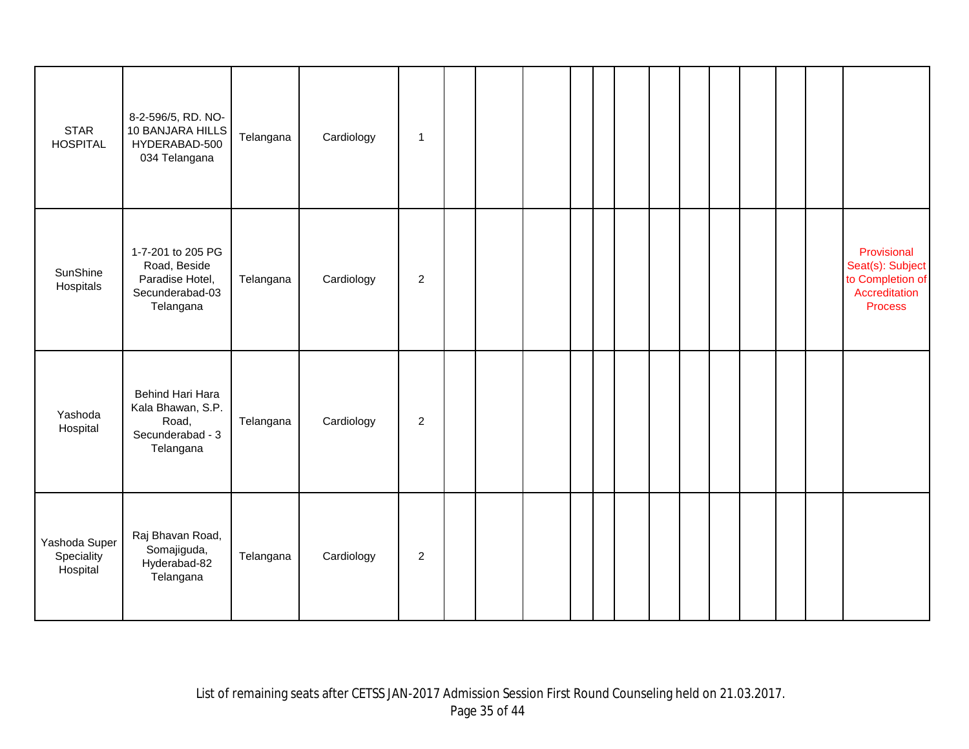| <b>STAR</b><br><b>HOSPITAL</b>          | 8-2-596/5, RD. NO-<br>10 BANJARA HILLS<br>HYDERABAD-500<br>034 Telangana             | Telangana | Cardiology | $\blacktriangleleft$ |  |  |  |  |  |  |                                                                                        |
|-----------------------------------------|--------------------------------------------------------------------------------------|-----------|------------|----------------------|--|--|--|--|--|--|----------------------------------------------------------------------------------------|
| SunShine<br>Hospitals                   | 1-7-201 to 205 PG<br>Road, Beside<br>Paradise Hotel,<br>Secunderabad-03<br>Telangana | Telangana | Cardiology | $\overline{c}$       |  |  |  |  |  |  | Provisional<br>Seat(s): Subject<br>to Completion of<br>Accreditation<br><b>Process</b> |
| Yashoda<br>Hospital                     | Behind Hari Hara<br>Kala Bhawan, S.P.<br>Road,<br>Secunderabad - 3<br>Telangana      | Telangana | Cardiology | $\overline{2}$       |  |  |  |  |  |  |                                                                                        |
| Yashoda Super<br>Speciality<br>Hospital | Raj Bhavan Road,<br>Somajiguda,<br>Hyderabad-82<br>Telangana                         | Telangana | Cardiology | $\overline{2}$       |  |  |  |  |  |  |                                                                                        |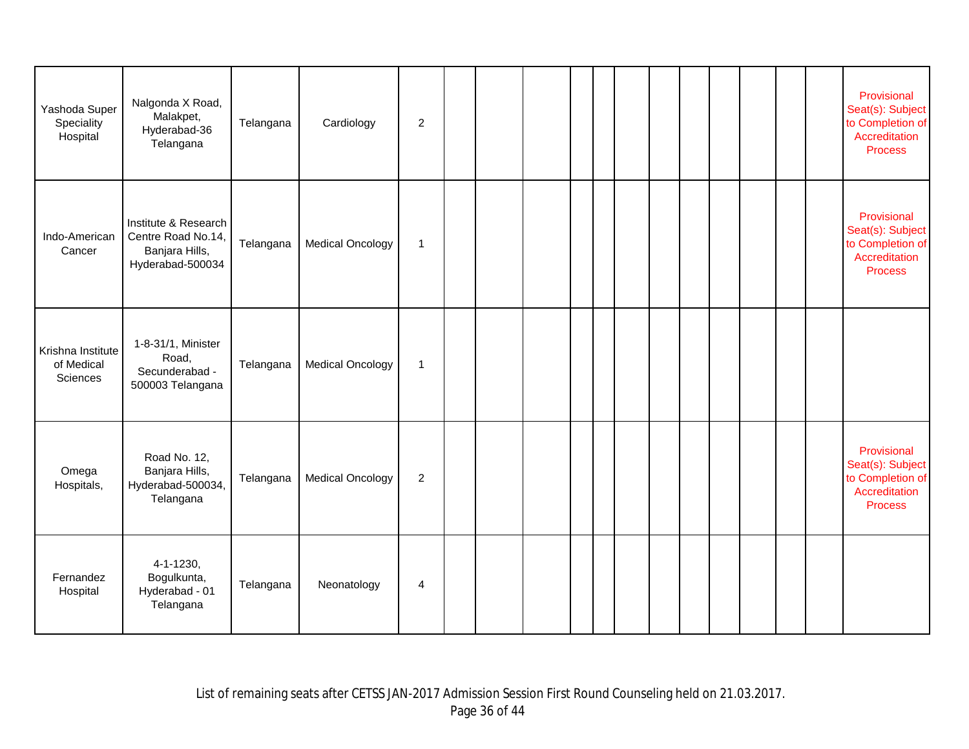| Yashoda Super<br>Speciality<br>Hospital     | Nalgonda X Road,<br>Malakpet,<br>Hyderabad-36<br>Telangana                       | Telangana | Cardiology              | 2              |  |  |  |  |  |  | Provisional<br>Seat(s): Subject<br>to Completion of<br>Accreditation<br><b>Process</b> |
|---------------------------------------------|----------------------------------------------------------------------------------|-----------|-------------------------|----------------|--|--|--|--|--|--|----------------------------------------------------------------------------------------|
| Indo-American<br>Cancer                     | Institute & Research<br>Centre Road No.14,<br>Banjara Hills,<br>Hyderabad-500034 | Telangana | <b>Medical Oncology</b> | $\mathbf{1}$   |  |  |  |  |  |  | Provisional<br>Seat(s): Subject<br>to Completion of<br>Accreditation<br><b>Process</b> |
| Krishna Institute<br>of Medical<br>Sciences | 1-8-31/1, Minister<br>Road,<br>Secunderabad -<br>500003 Telangana                | Telangana | <b>Medical Oncology</b> | $\mathbf{1}$   |  |  |  |  |  |  |                                                                                        |
| Omega<br>Hospitals,                         | Road No. 12,<br>Banjara Hills,<br>Hyderabad-500034,<br>Telangana                 | Telangana | <b>Medical Oncology</b> | 2              |  |  |  |  |  |  | Provisional<br>Seat(s): Subject<br>to Completion of<br>Accreditation<br><b>Process</b> |
| Fernandez<br>Hospital                       | $4 - 1 - 1230,$<br>Bogulkunta,<br>Hyderabad - 01<br>Telangana                    | Telangana | Neonatology             | $\overline{4}$ |  |  |  |  |  |  |                                                                                        |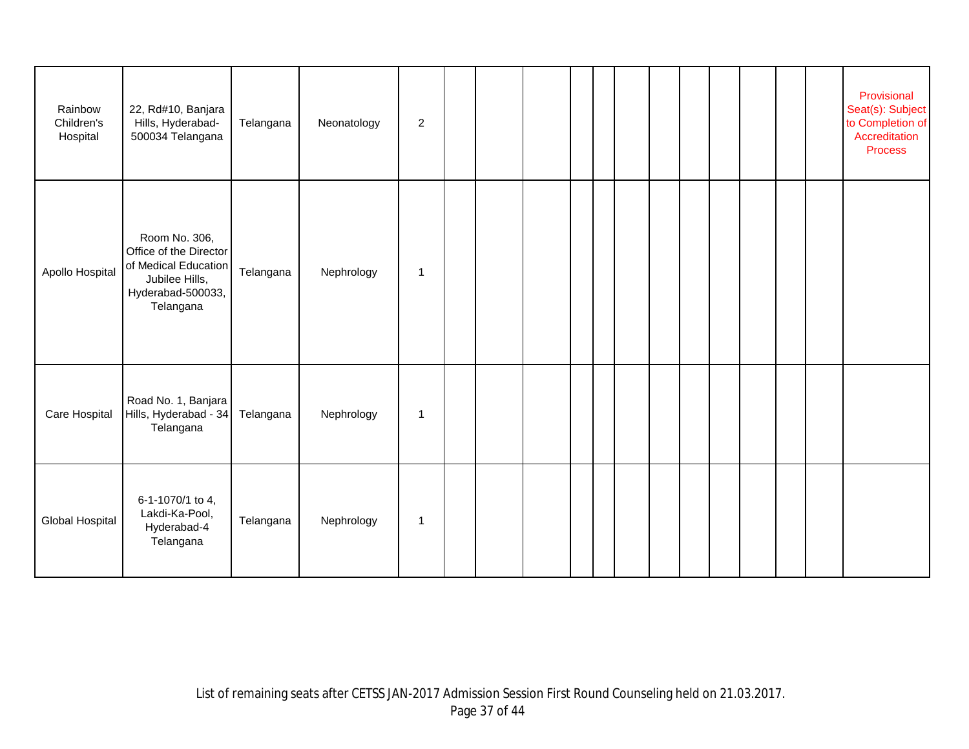| Rainbow<br>Children's<br>Hospital | 22, Rd#10, Banjara<br>Hills, Hyderabad-<br>500034 Telangana                                                         | Telangana | Neonatology | $\boldsymbol{2}$ |  |  |  |  |  |  | Provisional<br>Seat(s): Subject<br>to Completion of<br>Accreditation<br><b>Process</b> |
|-----------------------------------|---------------------------------------------------------------------------------------------------------------------|-----------|-------------|------------------|--|--|--|--|--|--|----------------------------------------------------------------------------------------|
| Apollo Hospital                   | Room No. 306,<br>Office of the Director<br>of Medical Education<br>Jubilee Hills,<br>Hyderabad-500033,<br>Telangana | Telangana | Nephrology  | -1               |  |  |  |  |  |  |                                                                                        |
| Care Hospital                     | Road No. 1, Banjara<br>Hills, Hyderabad - 34<br>Telangana                                                           | Telangana | Nephrology  | $\mathbf 1$      |  |  |  |  |  |  |                                                                                        |
| Global Hospital                   | 6-1-1070/1 to 4,<br>Lakdi-Ka-Pool,<br>Hyderabad-4<br>Telangana                                                      | Telangana | Nephrology  | $\mathbf 1$      |  |  |  |  |  |  |                                                                                        |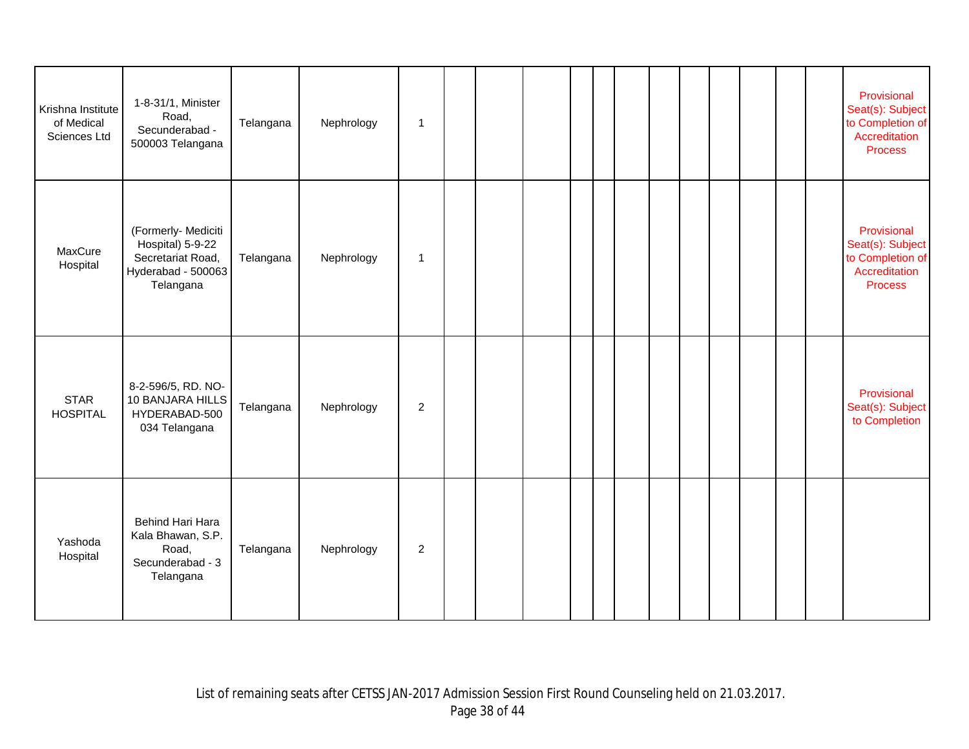| Krishna Institute<br>of Medical<br>Sciences Ltd | 1-8-31/1, Minister<br>Road,<br>Secunderabad -<br>500003 Telangana                               | Telangana | Nephrology | $\mathbf{1}$     |  |  |  |  |  |  | Provisional<br>Seat(s): Subject<br>to Completion of<br>Accreditation<br><b>Process</b> |
|-------------------------------------------------|-------------------------------------------------------------------------------------------------|-----------|------------|------------------|--|--|--|--|--|--|----------------------------------------------------------------------------------------|
| MaxCure<br>Hospital                             | (Formerly- Mediciti<br>Hospital) 5-9-22<br>Secretariat Road,<br>Hyderabad - 500063<br>Telangana | Telangana | Nephrology | $\overline{1}$   |  |  |  |  |  |  | Provisional<br>Seat(s): Subject<br>to Completion of<br>Accreditation<br><b>Process</b> |
| <b>STAR</b><br><b>HOSPITAL</b>                  | 8-2-596/5, RD. NO-<br>10 BANJARA HILLS<br>HYDERABAD-500<br>034 Telangana                        | Telangana | Nephrology | $\boldsymbol{2}$ |  |  |  |  |  |  | Provisional<br>Seat(s): Subject<br>to Completion                                       |
| Yashoda<br>Hospital                             | Behind Hari Hara<br>Kala Bhawan, S.P.<br>Road,<br>Secunderabad - 3<br>Telangana                 | Telangana | Nephrology | $\overline{c}$   |  |  |  |  |  |  |                                                                                        |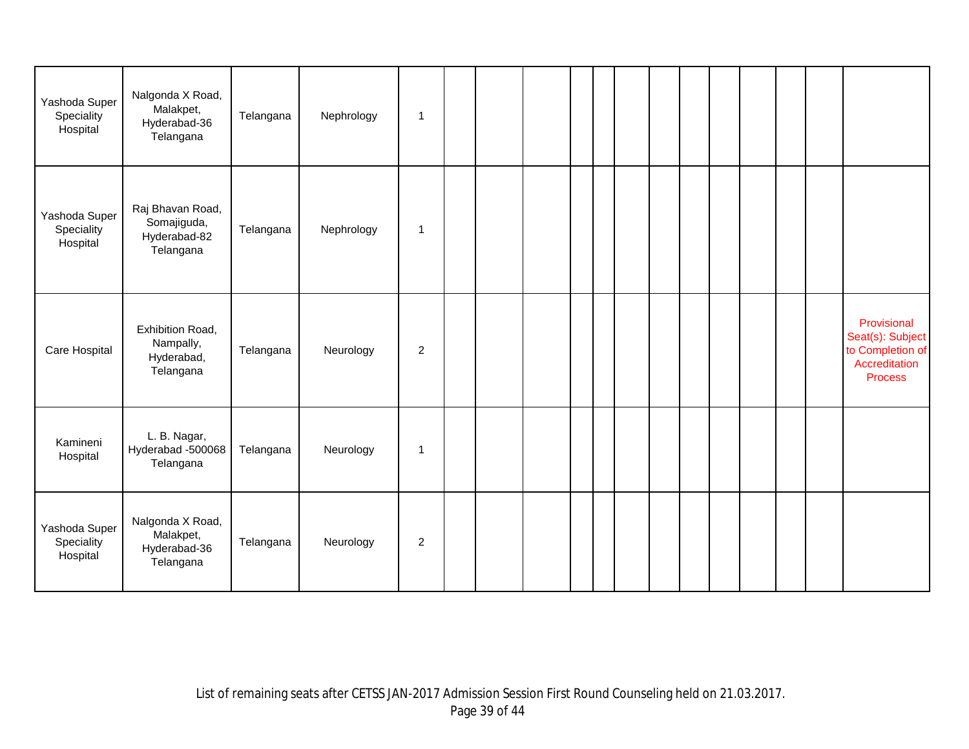| Yashoda Super<br>Speciality<br>Hospital | Nalgonda X Road,<br>Malakpet,<br>Hyderabad-36<br>Telangana   | Telangana | Nephrology | $\mathbf{1}$   |  |  |  |  |  |  |                                                                                        |
|-----------------------------------------|--------------------------------------------------------------|-----------|------------|----------------|--|--|--|--|--|--|----------------------------------------------------------------------------------------|
| Yashoda Super<br>Speciality<br>Hospital | Raj Bhavan Road,<br>Somajiguda,<br>Hyderabad-82<br>Telangana | Telangana | Nephrology | $\mathbf{1}$   |  |  |  |  |  |  |                                                                                        |
| Care Hospital                           | Exhibition Road,<br>Nampally,<br>Hyderabad,<br>Telangana     | Telangana | Neurology  | $\overline{c}$ |  |  |  |  |  |  | Provisional<br>Seat(s): Subject<br>to Completion of<br>Accreditation<br><b>Process</b> |
| Kamineni<br>Hospital                    | L. B. Nagar,<br>Hyderabad -500068<br>Telangana               | Telangana | Neurology  | $\mathbf{1}$   |  |  |  |  |  |  |                                                                                        |
| Yashoda Super<br>Speciality<br>Hospital | Nalgonda X Road,<br>Malakpet,<br>Hyderabad-36<br>Telangana   | Telangana | Neurology  | $\overline{c}$ |  |  |  |  |  |  |                                                                                        |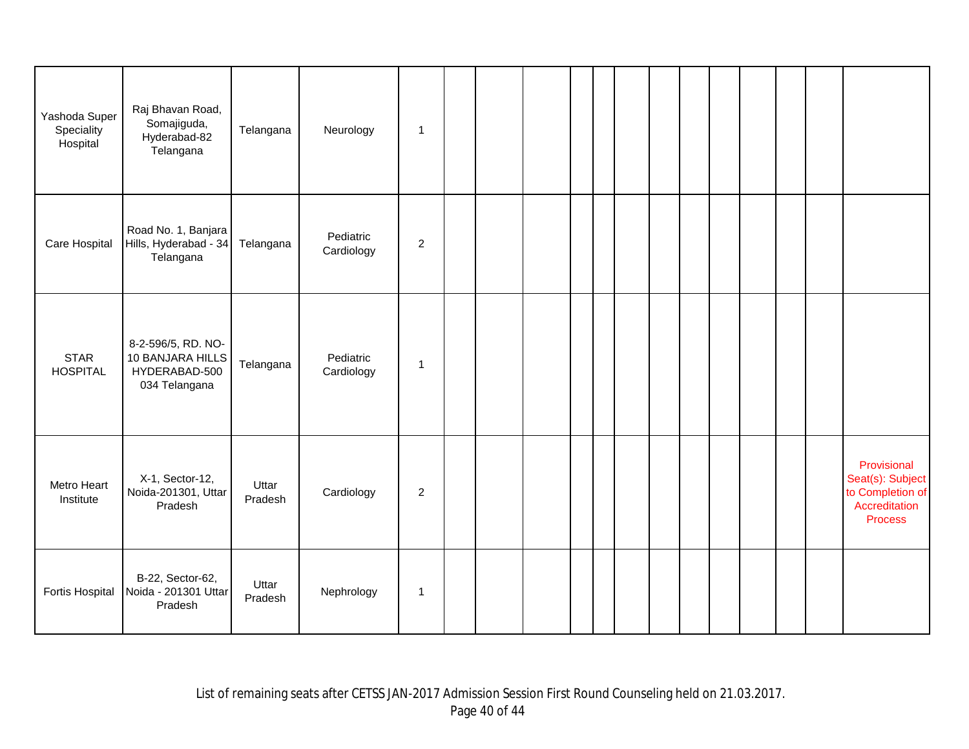| Yashoda Super<br>Speciality<br>Hospital | Raj Bhavan Road,<br>Somajiguda,<br>Hyderabad-82<br>Telangana             | Telangana        | Neurology               | $\mathbf{1}$   |  |  |  |  |  |  |                                                                                        |
|-----------------------------------------|--------------------------------------------------------------------------|------------------|-------------------------|----------------|--|--|--|--|--|--|----------------------------------------------------------------------------------------|
| Care Hospital                           | Road No. 1, Banjara<br>Hills, Hyderabad - 34<br>Telangana                | Telangana        | Pediatric<br>Cardiology | $\overline{c}$ |  |  |  |  |  |  |                                                                                        |
| <b>STAR</b><br><b>HOSPITAL</b>          | 8-2-596/5, RD. NO-<br>10 BANJARA HILLS<br>HYDERABAD-500<br>034 Telangana | Telangana        | Pediatric<br>Cardiology | 1              |  |  |  |  |  |  |                                                                                        |
| Metro Heart<br>Institute                | X-1, Sector-12,<br>Noida-201301, Uttar<br>Pradesh                        | Uttar<br>Pradesh | Cardiology              | $\overline{2}$ |  |  |  |  |  |  | Provisional<br>Seat(s): Subject<br>to Completion of<br>Accreditation<br><b>Process</b> |
| Fortis Hospital                         | B-22, Sector-62,<br>Noida - 201301 Uttar<br>Pradesh                      | Uttar<br>Pradesh | Nephrology              | $\mathbf{1}$   |  |  |  |  |  |  |                                                                                        |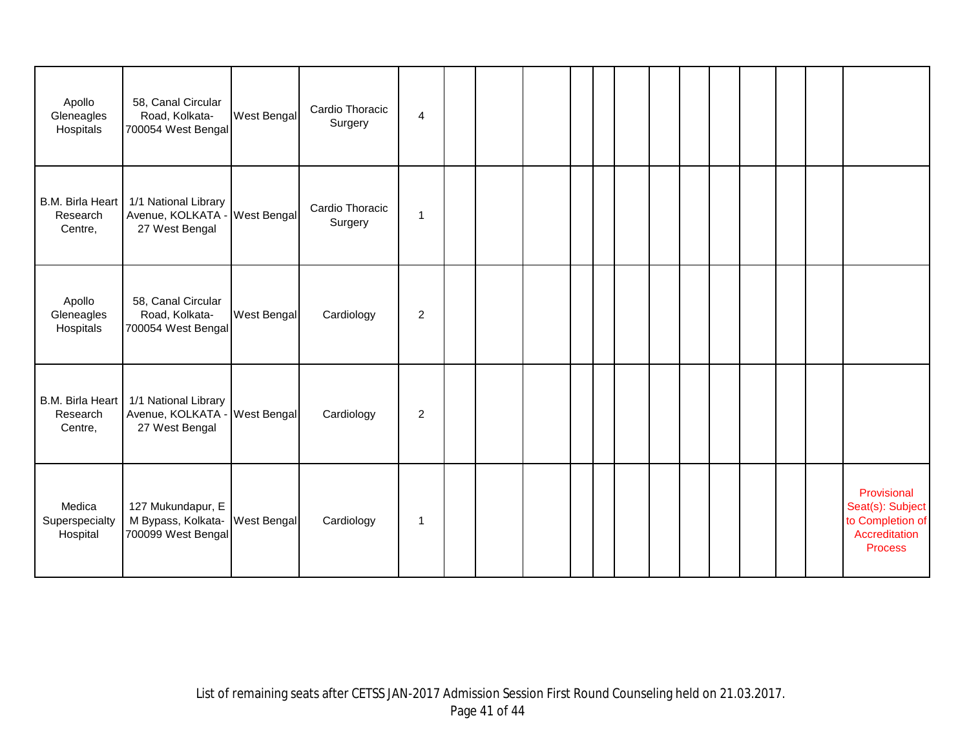| Apollo<br>Gleneagles<br>Hospitals       | 58, Canal Circular<br>Road, Kolkata-<br>700054 West Bengal    | West Bengal | Cardio Thoracic<br>Surgery | $\overline{4}$ |  |  |  |  |  |  |                                                                                        |
|-----------------------------------------|---------------------------------------------------------------|-------------|----------------------------|----------------|--|--|--|--|--|--|----------------------------------------------------------------------------------------|
| B.M. Birla Heart<br>Research<br>Centre, | 1/1 National Library<br>Avenue, KOLKATA -<br>27 West Bengal   | West Bengal | Cardio Thoracic<br>Surgery | $\mathbf 1$    |  |  |  |  |  |  |                                                                                        |
| Apollo<br>Gleneagles<br>Hospitals       | 58, Canal Circular<br>Road, Kolkata-<br>700054 West Bengal    | West Bengal | Cardiology                 | $\overline{2}$ |  |  |  |  |  |  |                                                                                        |
| B.M. Birla Heart<br>Research<br>Centre, | 1/1 National Library<br>Avenue, KOLKATA -<br>27 West Bengal   | West Bengal | Cardiology                 | $\overline{2}$ |  |  |  |  |  |  |                                                                                        |
| Medica<br>Superspecialty<br>Hospital    | 127 Mukundapur, E<br>M Bypass, Kolkata-<br>700099 West Bengal | West Bengal | Cardiology                 | 1              |  |  |  |  |  |  | Provisional<br>Seat(s): Subject<br>to Completion of<br>Accreditation<br><b>Process</b> |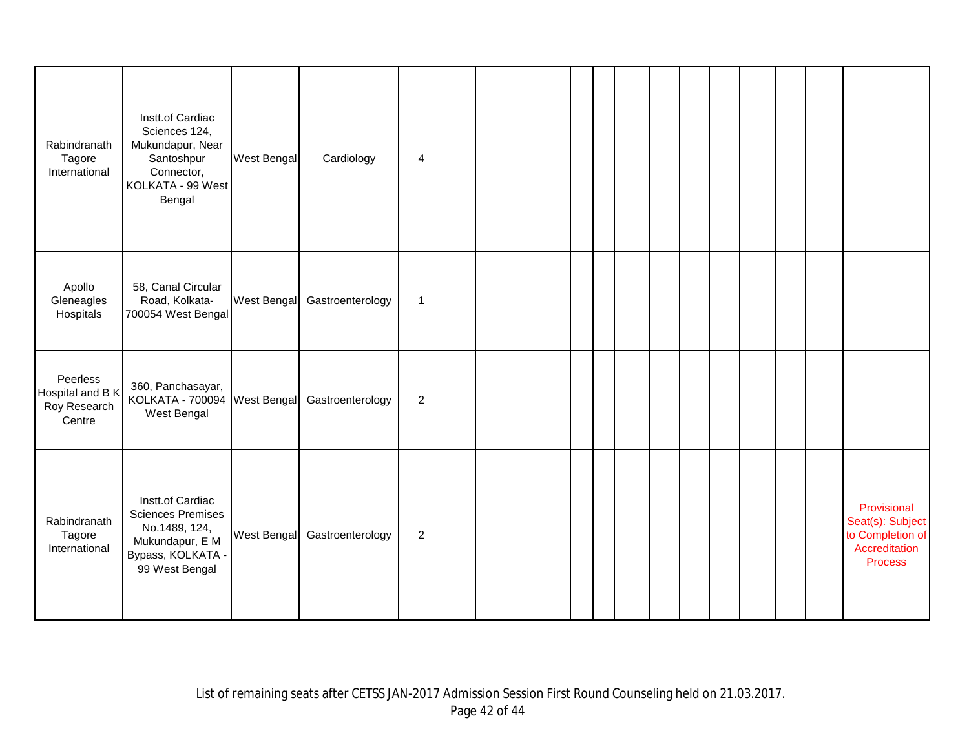| Rabindranath<br>Tagore<br>International                | Instt.of Cardiac<br>Sciences 124,<br>Mukundapur, Near<br>Santoshpur<br>Connector,<br>KOLKATA - 99 West<br>Bengal        | West Bengal        | Cardiology       | 4              |  |  |  |  |  |  |                                                                                        |
|--------------------------------------------------------|-------------------------------------------------------------------------------------------------------------------------|--------------------|------------------|----------------|--|--|--|--|--|--|----------------------------------------------------------------------------------------|
| Apollo<br>Gleneagles<br>Hospitals                      | 58, Canal Circular<br>Road, Kolkata-<br>700054 West Bengal                                                              | <b>West Bengal</b> | Gastroenterology | $\mathbf{1}$   |  |  |  |  |  |  |                                                                                        |
| Peerless<br>Hospital and B K<br>Roy Research<br>Centre | 360, Panchasayar,<br>KOLKATA - 700094 West Bengal<br>West Bengal                                                        |                    | Gastroenterology | $\overline{c}$ |  |  |  |  |  |  |                                                                                        |
| Rabindranath<br>Tagore<br>International                | Instt.of Cardiac<br><b>Sciences Premises</b><br>No.1489, 124,<br>Mukundapur, E M<br>Bypass, KOLKATA -<br>99 West Bengal | West Bengal        | Gastroenterology | $\overline{2}$ |  |  |  |  |  |  | Provisional<br>Seat(s): Subject<br>to Completion of<br>Accreditation<br><b>Process</b> |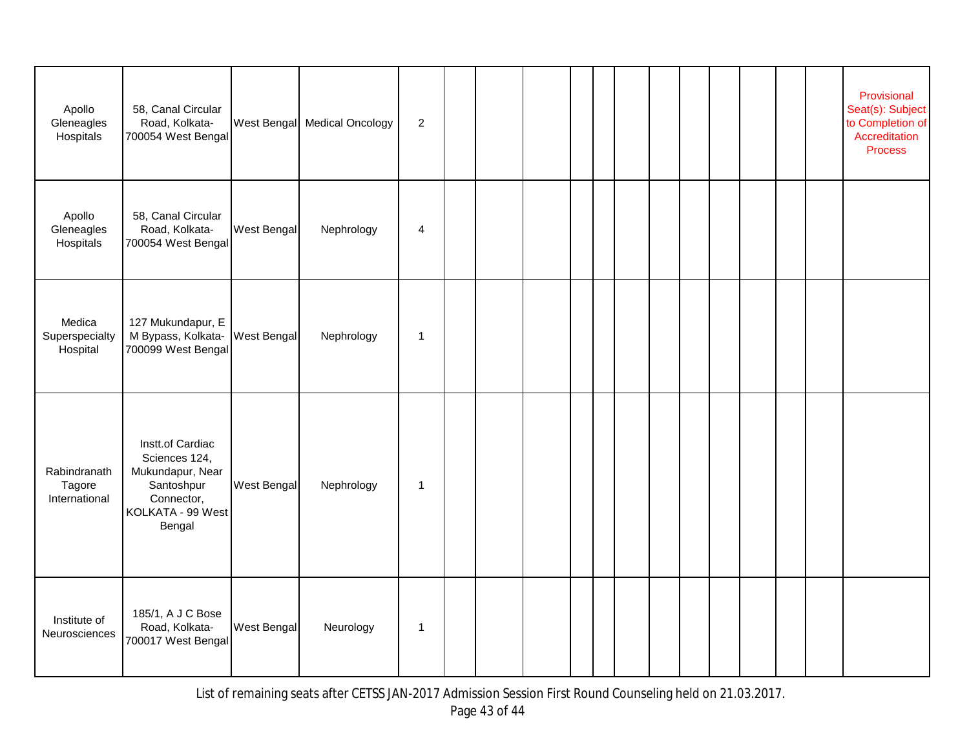| Apollo<br>Gleneagles<br>Hospitals       | 58, Canal Circular<br>Road, Kolkata-<br>700054 West Bengal                                                       |             | West Bengal Medical Oncology | $\overline{c}$ |  |  |  |  |  |  | Provisional<br>Seat(s): Subject<br>to Completion of<br>Accreditation<br><b>Process</b> |
|-----------------------------------------|------------------------------------------------------------------------------------------------------------------|-------------|------------------------------|----------------|--|--|--|--|--|--|----------------------------------------------------------------------------------------|
| Apollo<br>Gleneagles<br>Hospitals       | 58, Canal Circular<br>Road, Kolkata-<br>700054 West Bengal                                                       | West Bengal | Nephrology                   | 4              |  |  |  |  |  |  |                                                                                        |
| Medica<br>Superspecialty<br>Hospital    | 127 Mukundapur, E<br>M Bypass, Kolkata-<br>700099 West Bengal                                                    | West Bengal | Nephrology                   | $\mathbf{1}$   |  |  |  |  |  |  |                                                                                        |
| Rabindranath<br>Tagore<br>International | Instt.of Cardiac<br>Sciences 124,<br>Mukundapur, Near<br>Santoshpur<br>Connector,<br>KOLKATA - 99 West<br>Bengal | West Bengal | Nephrology                   | $\mathbf 1$    |  |  |  |  |  |  |                                                                                        |
| Institute of<br>Neurosciences           | 185/1, A J C Bose<br>Road, Kolkata-<br>700017 West Bengal                                                        | West Bengal | Neurology                    | $\mathbf{1}$   |  |  |  |  |  |  |                                                                                        |